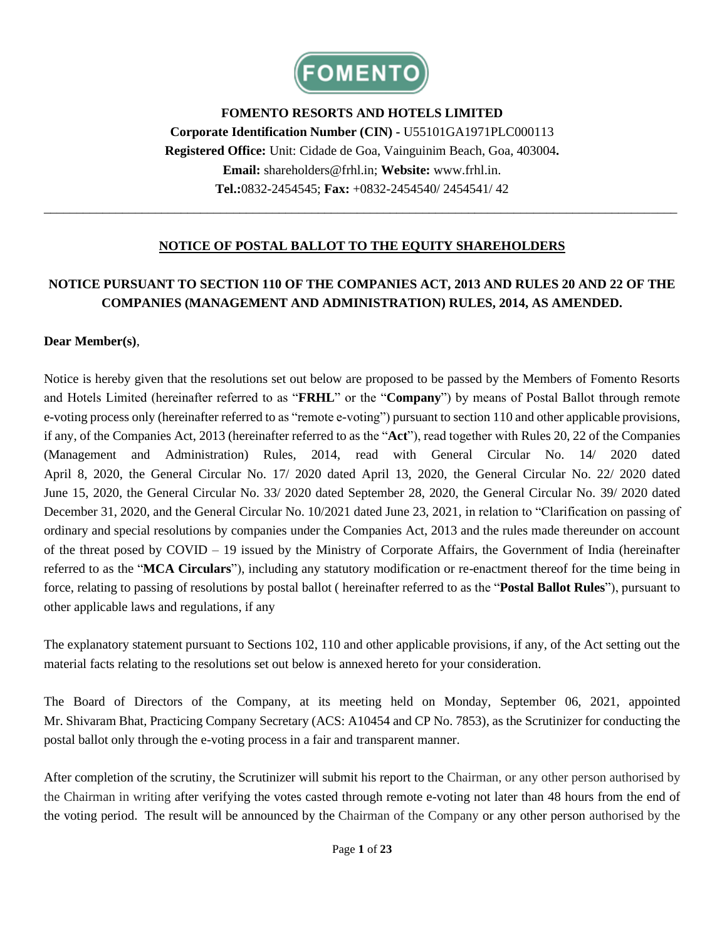

**FOMENTO RESORTS AND HOTELS LIMITED Corporate Identification Number (CIN) -** U55101GA1971PLC000113 **Registered Office:** Unit: Cidade de Goa, Vainguinim Beach, Goa, 403004**. Email:** shareholders@frhl.in; **Website:** www.frhl.in. **Tel.:**0832-2454545; **Fax:** +0832-2454540/ 2454541/ 42

#### **NOTICE OF POSTAL BALLOT TO THE EQUITY SHAREHOLDERS**

\_\_\_\_\_\_\_\_\_\_\_\_\_\_\_\_\_\_\_\_\_\_\_\_\_\_\_\_\_\_\_\_\_\_\_\_\_\_\_\_\_\_\_\_\_\_\_\_\_\_\_\_\_\_\_\_\_\_\_\_\_\_\_\_\_\_\_\_\_\_\_\_\_\_\_\_\_\_\_\_\_\_\_\_\_\_\_\_\_\_\_\_\_\_\_\_\_

### **NOTICE PURSUANT TO SECTION 110 OF THE COMPANIES ACT, 2013 AND RULES 20 AND 22 OF THE COMPANIES (MANAGEMENT AND ADMINISTRATION) RULES, 2014, AS AMENDED.**

#### **Dear Member(s)**,

Notice is hereby given that the resolutions set out below are proposed to be passed by the Members of Fomento Resorts and Hotels Limited (hereinafter referred to as "**FRHL**" or the "**Company**") by means of Postal Ballot through remote e-voting process only (hereinafter referred to as "remote e-voting") pursuant to section 110 and other applicable provisions, if any, of the Companies Act, 2013 (hereinafter referred to as the "**Act**"), read together with Rules 20, 22 of the Companies (Management and Administration) Rules, 2014, read with General Circular No. 14/ 2020 dated April 8, 2020, the General Circular No. 17/ 2020 dated April 13, 2020, the General Circular No. 22/ 2020 dated June 15, 2020, the General Circular No. 33/ 2020 dated September 28, 2020, the General Circular No. 39/ 2020 dated December 31, 2020, and the General Circular No. 10/2021 dated June 23, 2021, in relation to "Clarification on passing of ordinary and special resolutions by companies under the Companies Act, 2013 and the rules made thereunder on account of the threat posed by COVID – 19 issued by the Ministry of Corporate Affairs, the Government of India (hereinafter referred to as the "**MCA Circulars**"), including any statutory modification or re-enactment thereof for the time being in force, relating to passing of resolutions by postal ballot ( hereinafter referred to as the "**Postal Ballot Rules**"), pursuant to other applicable laws and regulations, if any

The explanatory statement pursuant to Sections 102, 110 and other applicable provisions, if any, of the Act setting out the material facts relating to the resolutions set out below is annexed hereto for your consideration.

The Board of Directors of the Company, at its meeting held on Monday, September 06, 2021, appointed Mr. Shivaram Bhat, Practicing Company Secretary (ACS: A10454 and CP No. 7853), as the Scrutinizer for conducting the postal ballot only through the e-voting process in a fair and transparent manner.

After completion of the scrutiny, the Scrutinizer will submit his report to the Chairman, or any other person authorised by the Chairman in writing after verifying the votes casted through remote e-voting not later than 48 hours from the end of the voting period. The result will be announced by the Chairman of the Company or any other person authorised by the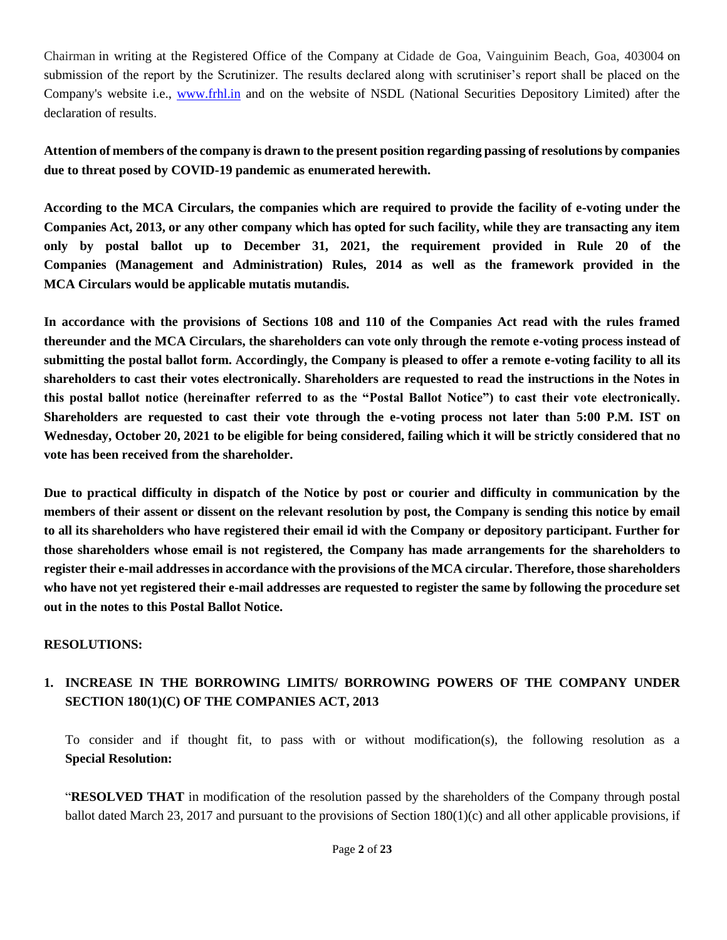Chairman in writing at the Registered Office of the Company at Cidade de Goa, Vainguinim Beach, Goa, 403004 on submission of the report by the Scrutinizer. The results declared along with scrutiniser's report shall be placed on the Company's website i.e., [www.frhl.in](http://www.frhl.in/) and on the website of NSDL (National Securities Depository Limited) after the declaration of results.

**Attention of members of the company is drawn to the present position regarding passing of resolutions by companies due to threat posed by COVID-19 pandemic as enumerated herewith.** 

**According to the MCA Circulars, the companies which are required to provide the facility of e-voting under the Companies Act, 2013, or any other company which has opted for such facility, while they are transacting any item only by postal ballot up to December 31, 2021, the requirement provided in Rule 20 of the Companies (Management and Administration) Rules, 2014 as well as the framework provided in the MCA Circulars would be applicable mutatis mutandis.**

**In accordance with the provisions of Sections 108 and 110 of the Companies Act read with the rules framed thereunder and the MCA Circulars, the shareholders can vote only through the remote e-voting process instead of submitting the postal ballot form. Accordingly, the Company is pleased to offer a remote e-voting facility to all its shareholders to cast their votes electronically. Shareholders are requested to read the instructions in the Notes in this postal ballot notice (hereinafter referred to as the "Postal Ballot Notice") to cast their vote electronically. Shareholders are requested to cast their vote through the e-voting process not later than 5:00 P.M. IST on Wednesday, October 20, 2021 to be eligible for being considered, failing which it will be strictly considered that no vote has been received from the shareholder.**

**Due to practical difficulty in dispatch of the Notice by post or courier and difficulty in communication by the members of their assent or dissent on the relevant resolution by post, the Company is sending this notice by email to all its shareholders who have registered their email id with the Company or depository participant. Further for those shareholders whose email is not registered, the Company has made arrangements for the shareholders to register their e-mail addresses in accordance with the provisions of the MCA circular. Therefore, those shareholders who have not yet registered their e-mail addresses are requested to register the same by following the procedure set out in the notes to this Postal Ballot Notice.**

#### **RESOLUTIONS:**

### **1. INCREASE IN THE BORROWING LIMITS/ BORROWING POWERS OF THE COMPANY UNDER SECTION 180(1)(C) OF THE COMPANIES ACT, 2013**

To consider and if thought fit, to pass with or without modification(s), the following resolution as a **Special Resolution:**

"**RESOLVED THAT** in modification of the resolution passed by the shareholders of the Company through postal ballot dated March 23, 2017 and pursuant to the provisions of Section 180(1)(c) and all other applicable provisions, if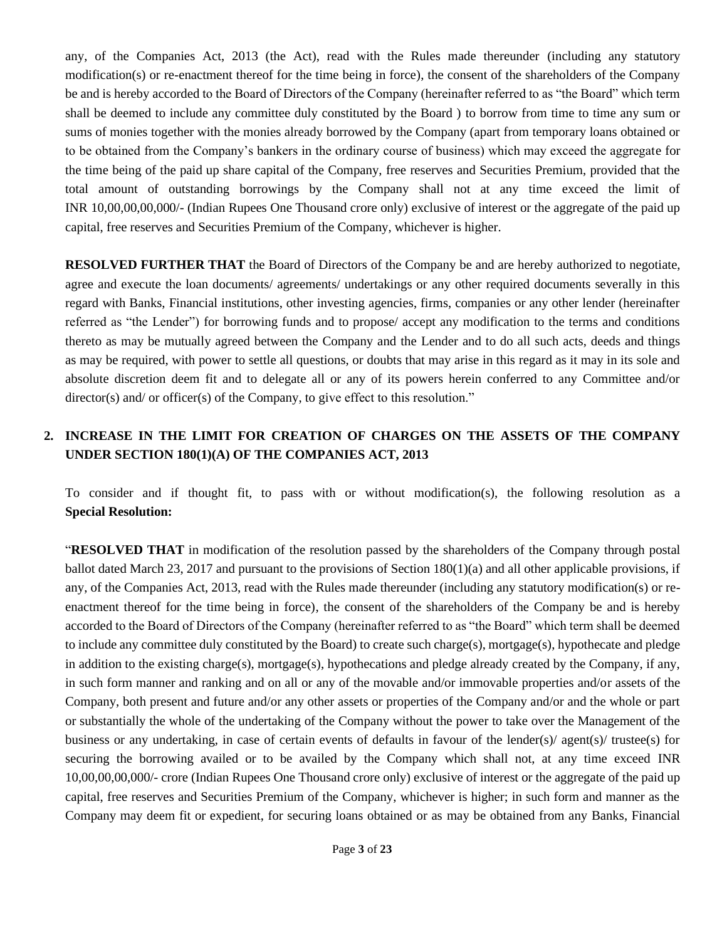any, of the Companies Act, 2013 (the Act), read with the Rules made thereunder (including any statutory modification(s) or re-enactment thereof for the time being in force), the consent of the shareholders of the Company be and is hereby accorded to the Board of Directors of the Company (hereinafter referred to as "the Board" which term shall be deemed to include any committee duly constituted by the Board ) to borrow from time to time any sum or sums of monies together with the monies already borrowed by the Company (apart from temporary loans obtained or to be obtained from the Company's bankers in the ordinary course of business) which may exceed the aggregate for the time being of the paid up share capital of the Company, free reserves and Securities Premium, provided that the total amount of outstanding borrowings by the Company shall not at any time exceed the limit of INR 10,00,00,00,000/- (Indian Rupees One Thousand crore only) exclusive of interest or the aggregate of the paid up capital, free reserves and Securities Premium of the Company, whichever is higher.

**RESOLVED FURTHER THAT** the Board of Directors of the Company be and are hereby authorized to negotiate, agree and execute the loan documents/ agreements/ undertakings or any other required documents severally in this regard with Banks, Financial institutions, other investing agencies, firms, companies or any other lender (hereinafter referred as "the Lender") for borrowing funds and to propose/ accept any modification to the terms and conditions thereto as may be mutually agreed between the Company and the Lender and to do all such acts, deeds and things as may be required, with power to settle all questions, or doubts that may arise in this regard as it may in its sole and absolute discretion deem fit and to delegate all or any of its powers herein conferred to any Committee and/or director(s) and/ or officer(s) of the Company, to give effect to this resolution."

## **2. INCREASE IN THE LIMIT FOR CREATION OF CHARGES ON THE ASSETS OF THE COMPANY UNDER SECTION 180(1)(A) OF THE COMPANIES ACT, 2013**

To consider and if thought fit, to pass with or without modification(s), the following resolution as a **Special Resolution:**

"**RESOLVED THAT** in modification of the resolution passed by the shareholders of the Company through postal ballot dated March 23, 2017 and pursuant to the provisions of Section  $180(1)(a)$  and all other applicable provisions, if any, of the Companies Act, 2013, read with the Rules made thereunder (including any statutory modification(s) or reenactment thereof for the time being in force), the consent of the shareholders of the Company be and is hereby accorded to the Board of Directors of the Company (hereinafter referred to as "the Board" which term shall be deemed to include any committee duly constituted by the Board) to create such charge(s), mortgage(s), hypothecate and pledge in addition to the existing charge(s), mortgage(s), hypothecations and pledge already created by the Company, if any, in such form manner and ranking and on all or any of the movable and/or immovable properties and/or assets of the Company, both present and future and/or any other assets or properties of the Company and/or and the whole or part or substantially the whole of the undertaking of the Company without the power to take over the Management of the business or any undertaking, in case of certain events of defaults in favour of the lender(s)/ agent(s)/ trustee(s) for securing the borrowing availed or to be availed by the Company which shall not, at any time exceed INR 10,00,00,00,000/- crore (Indian Rupees One Thousand crore only) exclusive of interest or the aggregate of the paid up capital, free reserves and Securities Premium of the Company, whichever is higher; in such form and manner as the Company may deem fit or expedient, for securing loans obtained or as may be obtained from any Banks, Financial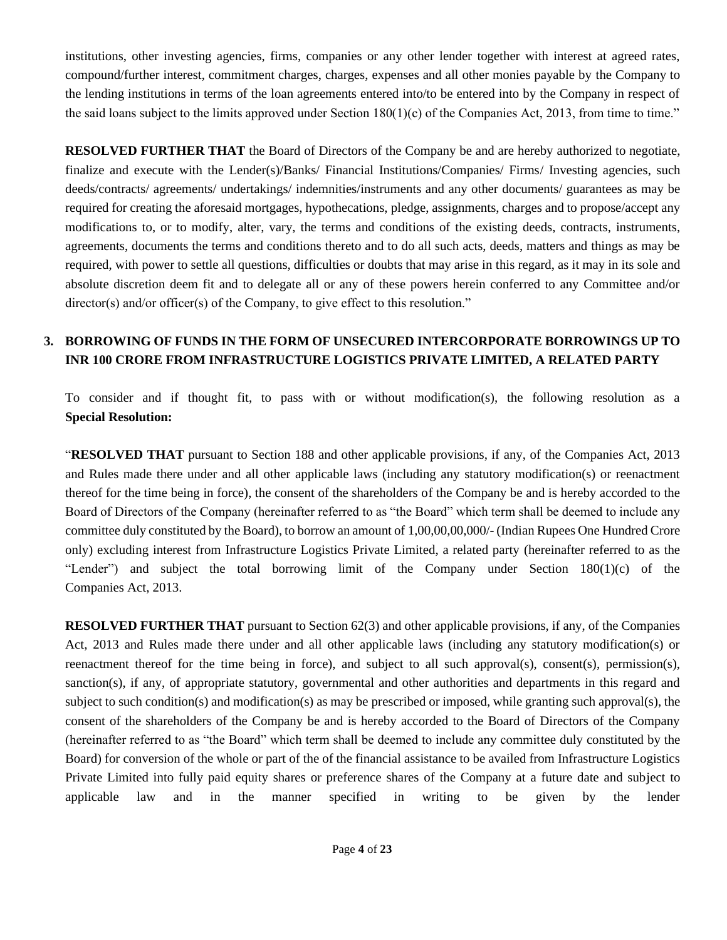institutions, other investing agencies, firms, companies or any other lender together with interest at agreed rates, compound/further interest, commitment charges, charges, expenses and all other monies payable by the Company to the lending institutions in terms of the loan agreements entered into/to be entered into by the Company in respect of the said loans subject to the limits approved under Section  $180(1)(c)$  of the Companies Act, 2013, from time to time."

**RESOLVED FURTHER THAT** the Board of Directors of the Company be and are hereby authorized to negotiate, finalize and execute with the Lender(s)/Banks/ Financial Institutions/Companies/ Firms/ Investing agencies, such deeds/contracts/ agreements/ undertakings/ indemnities/instruments and any other documents/ guarantees as may be required for creating the aforesaid mortgages, hypothecations, pledge, assignments, charges and to propose/accept any modifications to, or to modify, alter, vary, the terms and conditions of the existing deeds, contracts, instruments, agreements, documents the terms and conditions thereto and to do all such acts, deeds, matters and things as may be required, with power to settle all questions, difficulties or doubts that may arise in this regard, as it may in its sole and absolute discretion deem fit and to delegate all or any of these powers herein conferred to any Committee and/or director(s) and/or officer(s) of the Company, to give effect to this resolution."

### **3. BORROWING OF FUNDS IN THE FORM OF UNSECURED INTERCORPORATE BORROWINGS UP TO INR 100 CRORE FROM INFRASTRUCTURE LOGISTICS PRIVATE LIMITED, A RELATED PARTY**

To consider and if thought fit, to pass with or without modification(s), the following resolution as a **Special Resolution:**

"**RESOLVED THAT** pursuant to Section 188 and other applicable provisions, if any, of the Companies Act, 2013 and Rules made there under and all other applicable laws (including any statutory modification(s) or reenactment thereof for the time being in force), the consent of the shareholders of the Company be and is hereby accorded to the Board of Directors of the Company (hereinafter referred to as "the Board" which term shall be deemed to include any committee duly constituted by the Board), to borrow an amount of 1,00,00,00,000/- (Indian Rupees One Hundred Crore only) excluding interest from Infrastructure Logistics Private Limited, a related party (hereinafter referred to as the "Lender") and subject the total borrowing limit of the Company under Section 180(1)(c) of the Companies Act, 2013.

**RESOLVED FURTHER THAT** pursuant to Section 62(3) and other applicable provisions, if any, of the Companies Act, 2013 and Rules made there under and all other applicable laws (including any statutory modification(s) or reenactment thereof for the time being in force), and subject to all such approval(s), consent(s), permission(s), sanction(s), if any, of appropriate statutory, governmental and other authorities and departments in this regard and subject to such condition(s) and modification(s) as may be prescribed or imposed, while granting such approval(s), the consent of the shareholders of the Company be and is hereby accorded to the Board of Directors of the Company (hereinafter referred to as "the Board" which term shall be deemed to include any committee duly constituted by the Board) for conversion of the whole or part of the of the financial assistance to be availed from Infrastructure Logistics Private Limited into fully paid equity shares or preference shares of the Company at a future date and subject to applicable law and in the manner specified in writing to be given by the lender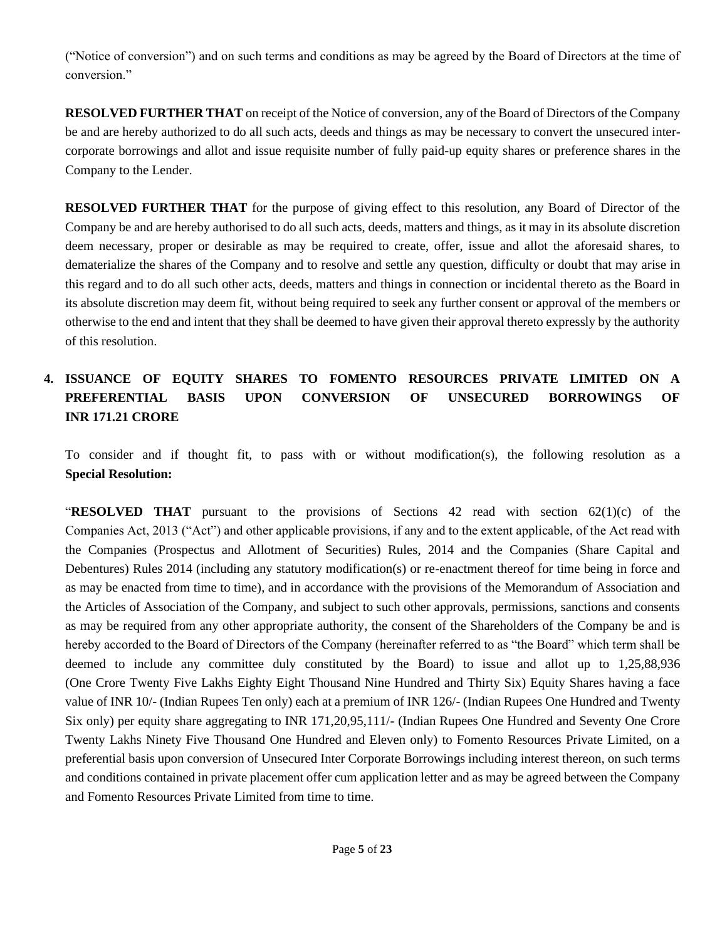("Notice of conversion") and on such terms and conditions as may be agreed by the Board of Directors at the time of conversion."

**RESOLVED FURTHER THAT** on receipt of the Notice of conversion, any of the Board of Directors of the Company be and are hereby authorized to do all such acts, deeds and things as may be necessary to convert the unsecured intercorporate borrowings and allot and issue requisite number of fully paid-up equity shares or preference shares in the Company to the Lender.

**RESOLVED FURTHER THAT** for the purpose of giving effect to this resolution, any Board of Director of the Company be and are hereby authorised to do all such acts, deeds, matters and things, as it may in its absolute discretion deem necessary, proper or desirable as may be required to create, offer, issue and allot the aforesaid shares, to dematerialize the shares of the Company and to resolve and settle any question, difficulty or doubt that may arise in this regard and to do all such other acts, deeds, matters and things in connection or incidental thereto as the Board in its absolute discretion may deem fit, without being required to seek any further consent or approval of the members or otherwise to the end and intent that they shall be deemed to have given their approval thereto expressly by the authority of this resolution.

# **4. ISSUANCE OF EQUITY SHARES TO FOMENTO RESOURCES PRIVATE LIMITED ON A PREFERENTIAL BASIS UPON CONVERSION OF UNSECURED BORROWINGS OF INR 171.21 CRORE**

To consider and if thought fit, to pass with or without modification(s), the following resolution as a **Special Resolution:**

"**RESOLVED THAT** pursuant to the provisions of Sections 42 read with section 62(1)(c) of the Companies Act, 2013 ("Act") and other applicable provisions, if any and to the extent applicable, of the Act read with the Companies (Prospectus and Allotment of Securities) Rules, 2014 and the Companies (Share Capital and Debentures) Rules 2014 (including any statutory modification(s) or re-enactment thereof for time being in force and as may be enacted from time to time), and in accordance with the provisions of the Memorandum of Association and the Articles of Association of the Company, and subject to such other approvals, permissions, sanctions and consents as may be required from any other appropriate authority, the consent of the Shareholders of the Company be and is hereby accorded to the Board of Directors of the Company (hereinafter referred to as "the Board" which term shall be deemed to include any committee duly constituted by the Board) to issue and allot up to 1,25,88,936 (One Crore Twenty Five Lakhs Eighty Eight Thousand Nine Hundred and Thirty Six) Equity Shares having a face value of INR 10/- (Indian Rupees Ten only) each at a premium of INR 126/- (Indian Rupees One Hundred and Twenty Six only) per equity share aggregating to INR 171,20,95,111/- (Indian Rupees One Hundred and Seventy One Crore Twenty Lakhs Ninety Five Thousand One Hundred and Eleven only) to Fomento Resources Private Limited, on a preferential basis upon conversion of Unsecured Inter Corporate Borrowings including interest thereon, on such terms and conditions contained in private placement offer cum application letter and as may be agreed between the Company and Fomento Resources Private Limited from time to time.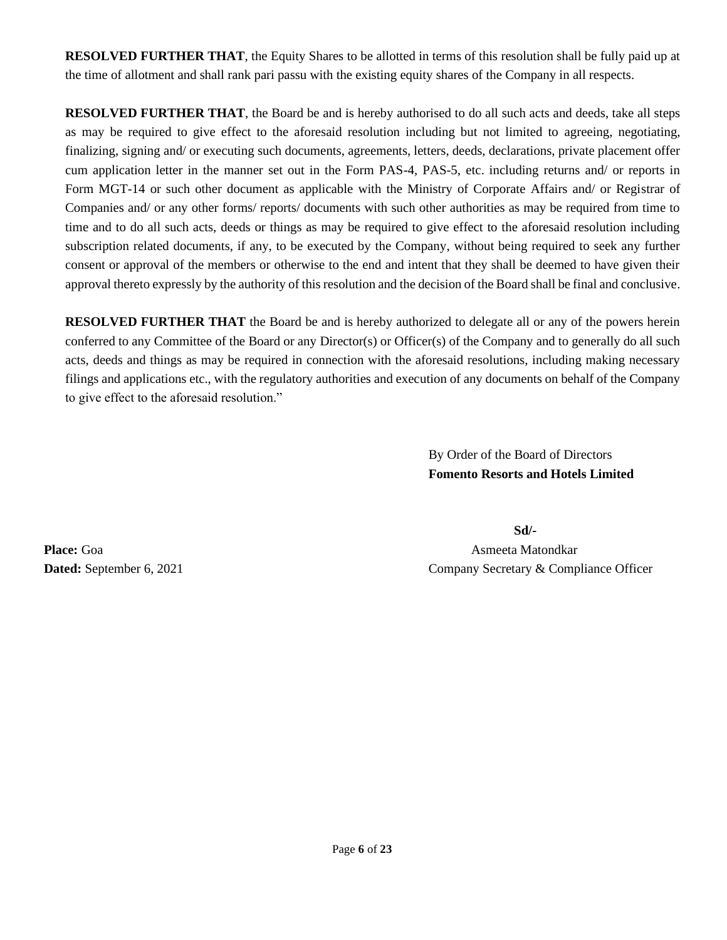**RESOLVED FURTHER THAT**, the Equity Shares to be allotted in terms of this resolution shall be fully paid up at the time of allotment and shall rank pari passu with the existing equity shares of the Company in all respects.

**RESOLVED FURTHER THAT**, the Board be and is hereby authorised to do all such acts and deeds, take all steps as may be required to give effect to the aforesaid resolution including but not limited to agreeing, negotiating, finalizing, signing and/ or executing such documents, agreements, letters, deeds, declarations, private placement offer cum application letter in the manner set out in the Form PAS-4, PAS-5, etc. including returns and/ or reports in Form MGT-14 or such other document as applicable with the Ministry of Corporate Affairs and/ or Registrar of Companies and/ or any other forms/ reports/ documents with such other authorities as may be required from time to time and to do all such acts, deeds or things as may be required to give effect to the aforesaid resolution including subscription related documents, if any, to be executed by the Company, without being required to seek any further consent or approval of the members or otherwise to the end and intent that they shall be deemed to have given their approval thereto expressly by the authority of this resolution and the decision of the Board shall be final and conclusive.

**RESOLVED FURTHER THAT** the Board be and is hereby authorized to delegate all or any of the powers herein conferred to any Committee of the Board or any Director(s) or Officer(s) of the Company and to generally do all such acts, deeds and things as may be required in connection with the aforesaid resolutions, including making necessary filings and applications etc., with the regulatory authorities and execution of any documents on behalf of the Company to give effect to the aforesaid resolution."

> By Order of the Board of Directors **Fomento Resorts and Hotels Limited**

**Sd/- Place:** Goa **Asmeeta Matondkar** Asmeeta Matondkar **Dated:** September 6, 2021 Company Secretary & Compliance Officer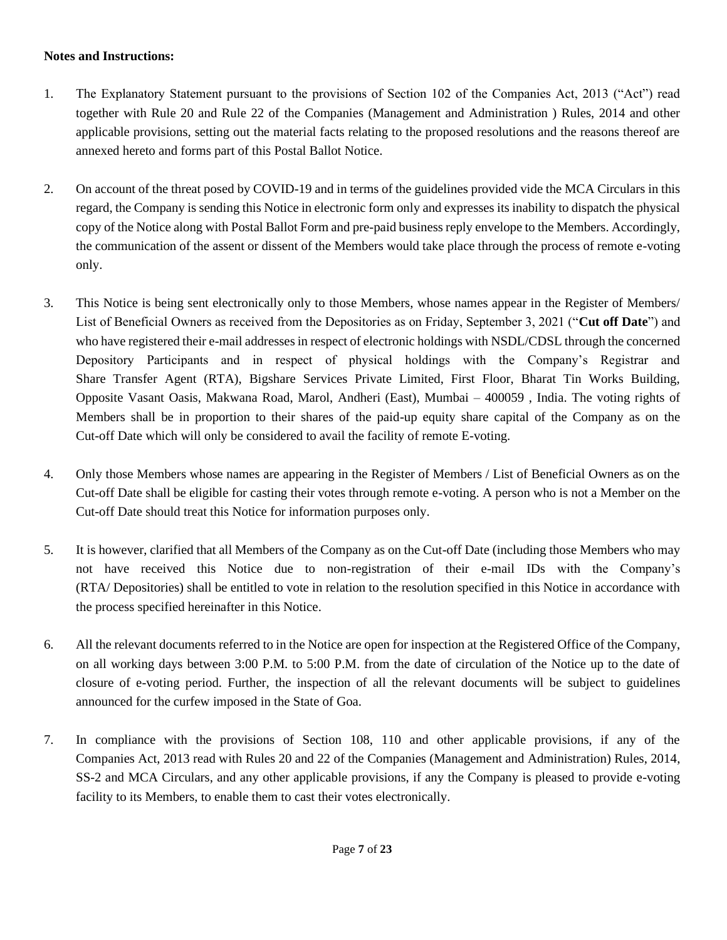#### **Notes and Instructions:**

- 1. The Explanatory Statement pursuant to the provisions of Section 102 of the Companies Act, 2013 ("Act") read together with Rule 20 and Rule 22 of the Companies (Management and Administration ) Rules, 2014 and other applicable provisions, setting out the material facts relating to the proposed resolutions and the reasons thereof are annexed hereto and forms part of this Postal Ballot Notice.
- 2. On account of the threat posed by COVID-19 and in terms of the guidelines provided vide the MCA Circulars in this regard, the Company is sending this Notice in electronic form only and expresses its inability to dispatch the physical copy of the Notice along with Postal Ballot Form and pre-paid business reply envelope to the Members. Accordingly, the communication of the assent or dissent of the Members would take place through the process of remote e-voting only.
- 3. This Notice is being sent electronically only to those Members, whose names appear in the Register of Members/ List of Beneficial Owners as received from the Depositories as on Friday, September 3, 2021 ("**Cut off Date**") and who have registered their e-mail addresses in respect of electronic holdings with NSDL/CDSL through the concerned Depository Participants and in respect of physical holdings with the Company's Registrar and Share Transfer Agent (RTA), Bigshare Services Private Limited, First Floor, Bharat Tin Works Building, Opposite Vasant Oasis, Makwana Road, Marol, Andheri (East), Mumbai – 400059 , India. The voting rights of Members shall be in proportion to their shares of the paid-up equity share capital of the Company as on the Cut-off Date which will only be considered to avail the facility of remote E-voting.
- 4. Only those Members whose names are appearing in the Register of Members / List of Beneficial Owners as on the Cut-off Date shall be eligible for casting their votes through remote e-voting. A person who is not a Member on the Cut-off Date should treat this Notice for information purposes only.
- 5. It is however, clarified that all Members of the Company as on the Cut-off Date (including those Members who may not have received this Notice due to non-registration of their e-mail IDs with the Company's (RTA/ Depositories) shall be entitled to vote in relation to the resolution specified in this Notice in accordance with the process specified hereinafter in this Notice.
- 6. All the relevant documents referred to in the Notice are open for inspection at the Registered Office of the Company, on all working days between 3:00 P.M. to 5:00 P.M. from the date of circulation of the Notice up to the date of closure of e-voting period. Further, the inspection of all the relevant documents will be subject to guidelines announced for the curfew imposed in the State of Goa.
- 7. In compliance with the provisions of Section 108, 110 and other applicable provisions, if any of the Companies Act, 2013 read with Rules 20 and 22 of the Companies (Management and Administration) Rules, 2014, SS-2 and MCA Circulars, and any other applicable provisions, if any the Company is pleased to provide e-voting facility to its Members, to enable them to cast their votes electronically.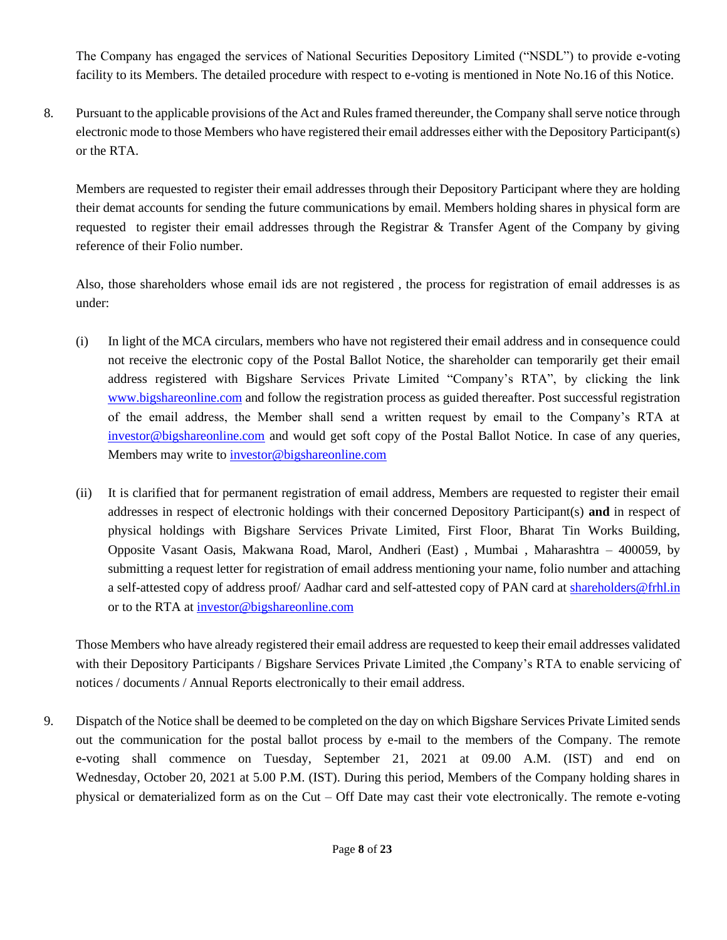The Company has engaged the services of National Securities Depository Limited ("NSDL") to provide e-voting facility to its Members. The detailed procedure with respect to e-voting is mentioned in Note No.16 of this Notice.

8. Pursuant to the applicable provisions of the Act and Rules framed thereunder, the Company shall serve notice through electronic mode to those Members who have registered their email addresses either with the Depository Participant(s) or the RTA.

Members are requested to register their email addresses through their Depository Participant where they are holding their demat accounts for sending the future communications by email. Members holding shares in physical form are requested to register their email addresses through the Registrar & Transfer Agent of the Company by giving reference of their Folio number.

Also, those shareholders whose email ids are not registered , the process for registration of email addresses is as under:

- (i) In light of the MCA circulars, members who have not registered their email address and in consequence could not receive the electronic copy of the Postal Ballot Notice, the shareholder can temporarily get their email address registered with Bigshare Services Private Limited "Company's RTA", by clicking the link [www.bigshareonline.com](http://www.bigshareonline.com/) and follow the registration process as guided thereafter. Post successful registration of the email address, the Member shall send a written request by email to the Company's RTA at [investor@bigshareonline.com](mailto:investor@bigshareonline.com) and would get soft copy of the Postal Ballot Notice. In case of any queries, Members may write to [investor@bigshareonline.com](mailto:investor@bigshareonline.com)
- (ii) It is clarified that for permanent registration of email address, Members are requested to register their email addresses in respect of electronic holdings with their concerned Depository Participant(s) **and** in respect of physical holdings with Bigshare Services Private Limited, First Floor, Bharat Tin Works Building, Opposite Vasant Oasis, Makwana Road, Marol, Andheri (East) , Mumbai , Maharashtra – 400059, by submitting a request letter for registration of email address mentioning your name, folio number and attaching a self-attested copy of address proof/ Aadhar card and self-attested copy of PAN card at [shareholders@frhl.in](mailto:shareholders@frhl.in) or to the RTA at [investor@bigshareonline.com](mailto:investor@bigshareonline.com)

Those Members who have already registered their email address are requested to keep their email addresses validated with their Depository Participants / Bigshare Services Private Limited , the Company's RTA to enable servicing of notices / documents / Annual Reports electronically to their email address.

9. Dispatch of the Notice shall be deemed to be completed on the day on which Bigshare Services Private Limited sends out the communication for the postal ballot process by e-mail to the members of the Company. The remote e-voting shall commence on Tuesday, September 21, 2021 at 09.00 A.M. (IST) and end on Wednesday, October 20, 2021 at 5.00 P.M. (IST). During this period, Members of the Company holding shares in physical or dematerialized form as on the Cut – Off Date may cast their vote electronically. The remote e-voting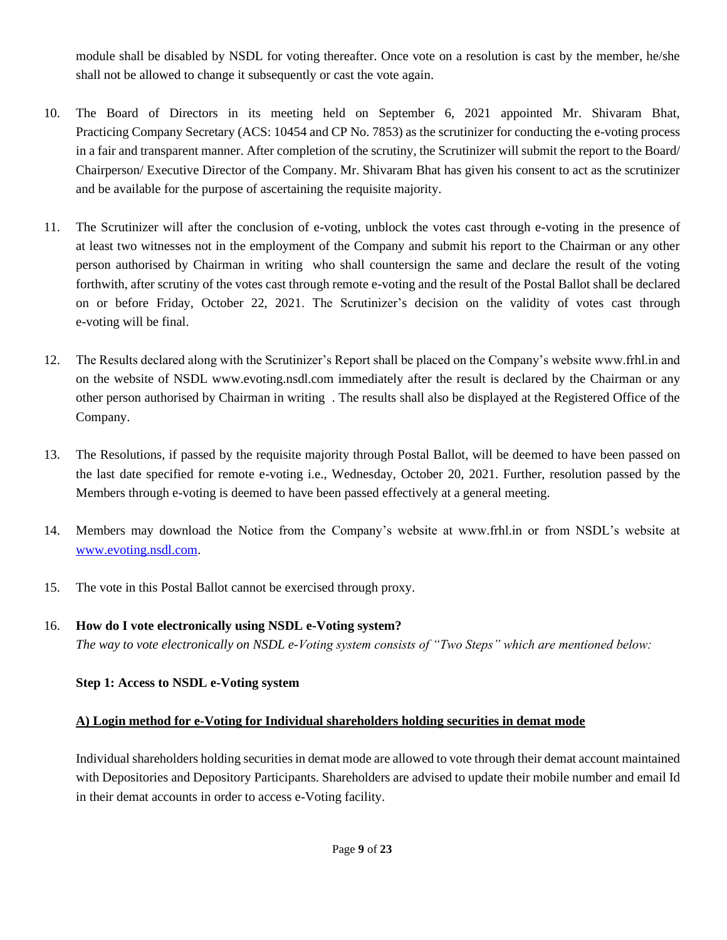module shall be disabled by NSDL for voting thereafter. Once vote on a resolution is cast by the member, he/she shall not be allowed to change it subsequently or cast the vote again.

- 10. The Board of Directors in its meeting held on September 6, 2021 appointed Mr. Shivaram Bhat, Practicing Company Secretary (ACS: 10454 and CP No. 7853) as the scrutinizer for conducting the e-voting process in a fair and transparent manner. After completion of the scrutiny, the Scrutinizer will submit the report to the Board/ Chairperson/ Executive Director of the Company. Mr. Shivaram Bhat has given his consent to act as the scrutinizer and be available for the purpose of ascertaining the requisite majority.
- 11. The Scrutinizer will after the conclusion of e-voting, unblock the votes cast through e-voting in the presence of at least two witnesses not in the employment of the Company and submit his report to the Chairman or any other person authorised by Chairman in writing who shall countersign the same and declare the result of the voting forthwith, after scrutiny of the votes cast through remote e-voting and the result of the Postal Ballot shall be declared on or before Friday, October 22, 2021. The Scrutinizer's decision on the validity of votes cast through e-voting will be final.
- 12. The Results declared along with the Scrutinizer's Report shall be placed on the Company's website www.frhl.in and on the website of NSDL www.evoting.nsdl.com immediately after the result is declared by the Chairman or any other person authorised by Chairman in writing . The results shall also be displayed at the Registered Office of the Company.
- 13. The Resolutions, if passed by the requisite majority through Postal Ballot, will be deemed to have been passed on the last date specified for remote e-voting i.e., Wednesday, October 20, 2021. Further, resolution passed by the Members through e-voting is deemed to have been passed effectively at a general meeting.
- 14. Members may download the Notice from the Company's website at www.frhl.in or from NSDL's website at [www.evoting.nsdl.com.](http://www.evoting.nsdl.com/)
- 15. The vote in this Postal Ballot cannot be exercised through proxy.
- 16. **How do I vote electronically using NSDL e-Voting system?** *The way to vote electronically on NSDL e-Voting system consists of "Two Steps" which are mentioned below:*

**Step 1: Access to NSDL e-Voting system**

### **A) Login method for e-Voting for Individual shareholders holding securities in demat mode**

Individual shareholders holding securities in demat mode are allowed to vote through their demat account maintained with Depositories and Depository Participants. Shareholders are advised to update their mobile number and email Id in their demat accounts in order to access e-Voting facility.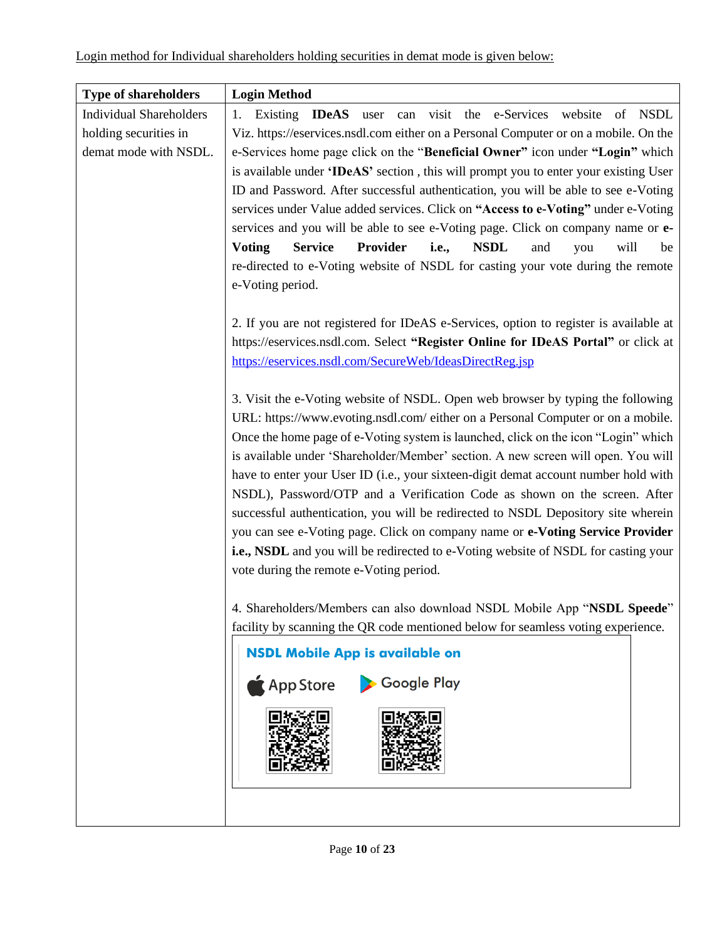| <b>Type of shareholders</b>                                                      | <b>Login Method</b>                                                                                                                                                                       |  |  |  |
|----------------------------------------------------------------------------------|-------------------------------------------------------------------------------------------------------------------------------------------------------------------------------------------|--|--|--|
| <b>Individual Shareholders</b>                                                   | Existing <b>IDeAS</b> user can visit the e-Services website of NSDL<br>1.                                                                                                                 |  |  |  |
| holding securities in                                                            | Viz. https://eservices.nsdl.com either on a Personal Computer or on a mobile. On the                                                                                                      |  |  |  |
| demat mode with NSDL.                                                            | e-Services home page click on the "Beneficial Owner" icon under "Login" which                                                                                                             |  |  |  |
|                                                                                  | is available under 'IDeAS' section, this will prompt you to enter your existing User                                                                                                      |  |  |  |
|                                                                                  | ID and Password. After successful authentication, you will be able to see e-Voting                                                                                                        |  |  |  |
|                                                                                  | services under Value added services. Click on "Access to e-Voting" under e-Voting                                                                                                         |  |  |  |
|                                                                                  | services and you will be able to see e-Voting page. Click on company name or e-                                                                                                           |  |  |  |
|                                                                                  | <b>Voting</b><br><b>Service</b><br>Provider<br><i>i.e.,</i><br><b>NSDL</b><br>will<br>and<br>you<br>be<br>re-directed to e-Voting website of NSDL for casting your vote during the remote |  |  |  |
|                                                                                  | e-Voting period.                                                                                                                                                                          |  |  |  |
|                                                                                  |                                                                                                                                                                                           |  |  |  |
|                                                                                  | 2. If you are not registered for IDeAS e-Services, option to register is available at                                                                                                     |  |  |  |
|                                                                                  | https://eservices.nsdl.com. Select "Register Online for IDeAS Portal" or click at                                                                                                         |  |  |  |
|                                                                                  | https://eservices.nsdl.com/SecureWeb/IdeasDirectReg.jsp                                                                                                                                   |  |  |  |
|                                                                                  | 3. Visit the e-Voting website of NSDL. Open web browser by typing the following                                                                                                           |  |  |  |
| URL: https://www.evoting.nsdl.com/ either on a Personal Computer or on a mobile. |                                                                                                                                                                                           |  |  |  |
|                                                                                  | Once the home page of e-Voting system is launched, click on the icon "Login" which                                                                                                        |  |  |  |
|                                                                                  | is available under 'Shareholder/Member' section. A new screen will open. You will                                                                                                         |  |  |  |
|                                                                                  | have to enter your User ID (i.e., your sixteen-digit demat account number hold with                                                                                                       |  |  |  |
|                                                                                  | NSDL), Password/OTP and a Verification Code as shown on the screen. After<br>successful authentication, you will be redirected to NSDL Depository site wherein                            |  |  |  |
|                                                                                  |                                                                                                                                                                                           |  |  |  |
|                                                                                  | you can see e-Voting page. Click on company name or e-Voting Service Provider                                                                                                             |  |  |  |
|                                                                                  | i.e., NSDL and you will be redirected to e-Voting website of NSDL for casting your                                                                                                        |  |  |  |
|                                                                                  | vote during the remote e-Voting period.                                                                                                                                                   |  |  |  |
|                                                                                  | 4. Shareholders/Members can also download NSDL Mobile App "NSDL Speede"                                                                                                                   |  |  |  |
|                                                                                  | facility by scanning the QR code mentioned below for seamless voting experience.                                                                                                          |  |  |  |
|                                                                                  | <b>NSDL Mobile App is available on</b>                                                                                                                                                    |  |  |  |
|                                                                                  | App Store Coogle Play                                                                                                                                                                     |  |  |  |
|                                                                                  |                                                                                                                                                                                           |  |  |  |
|                                                                                  |                                                                                                                                                                                           |  |  |  |
|                                                                                  |                                                                                                                                                                                           |  |  |  |
|                                                                                  |                                                                                                                                                                                           |  |  |  |
|                                                                                  |                                                                                                                                                                                           |  |  |  |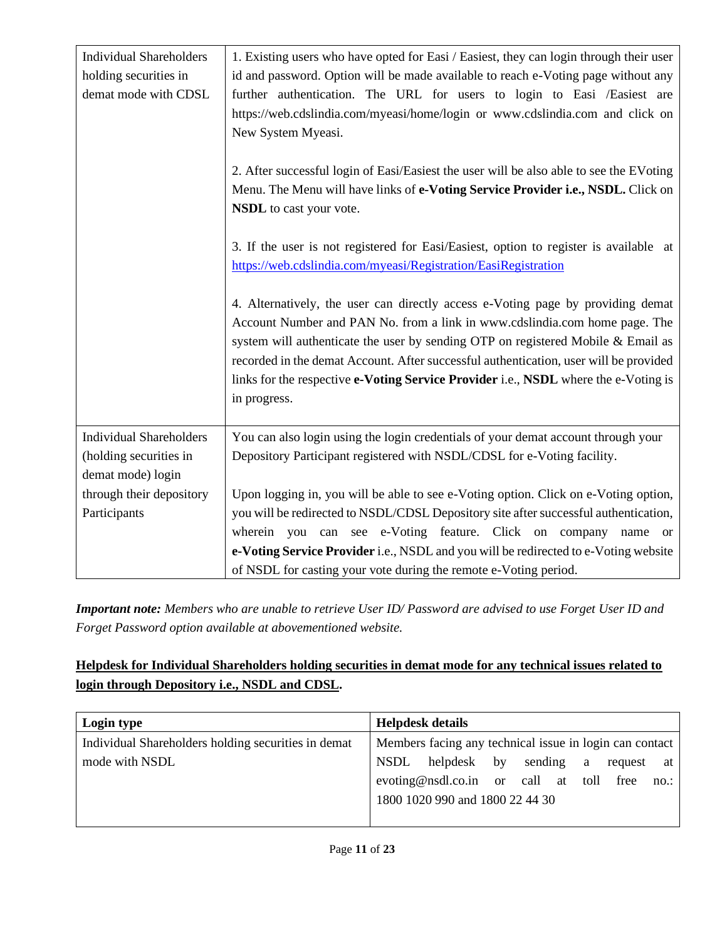| <b>Individual Shareholders</b><br>holding securities in<br>demat mode with CDSL | 1. Existing users who have opted for Easi / Easiest, they can login through their user<br>id and password. Option will be made available to reach e-Voting page without any<br>further authentication. The URL for users to login to Easi /Easiest are<br>https://web.cdslindia.com/myeasi/home/login or www.cdslindia.com and click on<br>New System Myeasi.<br>2. After successful login of Easi/Easiest the user will be also able to see the EVoting<br>Menu. The Menu will have links of e-Voting Service Provider i.e., NSDL. Click on<br><b>NSDL</b> to cast your vote.<br>3. If the user is not registered for Easi/Easiest, option to register is available at<br>https://web.cdslindia.com/myeasi/Registration/EasiRegistration<br>4. Alternatively, the user can directly access e-Voting page by providing demat<br>Account Number and PAN No. from a link in www.cdslindia.com home page. The<br>system will authenticate the user by sending OTP on registered Mobile & Email as<br>recorded in the demat Account. After successful authentication, user will be provided<br>links for the respective e-Voting Service Provider i.e., NSDL where the e-Voting is<br>in progress. |
|---------------------------------------------------------------------------------|------------------------------------------------------------------------------------------------------------------------------------------------------------------------------------------------------------------------------------------------------------------------------------------------------------------------------------------------------------------------------------------------------------------------------------------------------------------------------------------------------------------------------------------------------------------------------------------------------------------------------------------------------------------------------------------------------------------------------------------------------------------------------------------------------------------------------------------------------------------------------------------------------------------------------------------------------------------------------------------------------------------------------------------------------------------------------------------------------------------------------------------------------------------------------------------------|
|                                                                                 |                                                                                                                                                                                                                                                                                                                                                                                                                                                                                                                                                                                                                                                                                                                                                                                                                                                                                                                                                                                                                                                                                                                                                                                                |
| <b>Individual Shareholders</b><br>(holding securities in<br>demat mode) login   | You can also login using the login credentials of your demat account through your<br>Depository Participant registered with NSDL/CDSL for e-Voting facility.                                                                                                                                                                                                                                                                                                                                                                                                                                                                                                                                                                                                                                                                                                                                                                                                                                                                                                                                                                                                                                   |
| through their depository<br>Participants                                        | Upon logging in, you will be able to see e-Voting option. Click on e-Voting option,<br>you will be redirected to NSDL/CDSL Depository site after successful authentication,                                                                                                                                                                                                                                                                                                                                                                                                                                                                                                                                                                                                                                                                                                                                                                                                                                                                                                                                                                                                                    |
|                                                                                 | wherein you can see e-Voting feature. Click on company name or<br>e-Voting Service Provider i.e., NSDL and you will be redirected to e-Voting website                                                                                                                                                                                                                                                                                                                                                                                                                                                                                                                                                                                                                                                                                                                                                                                                                                                                                                                                                                                                                                          |
|                                                                                 | of NSDL for casting your vote during the remote e-Voting period.                                                                                                                                                                                                                                                                                                                                                                                                                                                                                                                                                                                                                                                                                                                                                                                                                                                                                                                                                                                                                                                                                                                               |

*Important note: Members who are unable to retrieve User ID/ Password are advised to use Forget User ID and Forget Password option available at abovementioned website.*

## **Helpdesk for Individual Shareholders holding securities in demat mode for any technical issues related to login through Depository i.e., NSDL and CDSL.**

| Login type                                          | <b>Helpdesk details</b>                                     |
|-----------------------------------------------------|-------------------------------------------------------------|
| Individual Shareholders holding securities in demat | Members facing any technical issue in login can contact     |
| mode with NSDL                                      | <b>NSDL</b><br>helpdesk by<br>sending<br>a<br>request<br>at |
|                                                     | evoting@nsdl.co.in or call at toll free<br>no.:             |
|                                                     | 1800 1020 990 and 1800 22 44 30                             |
|                                                     |                                                             |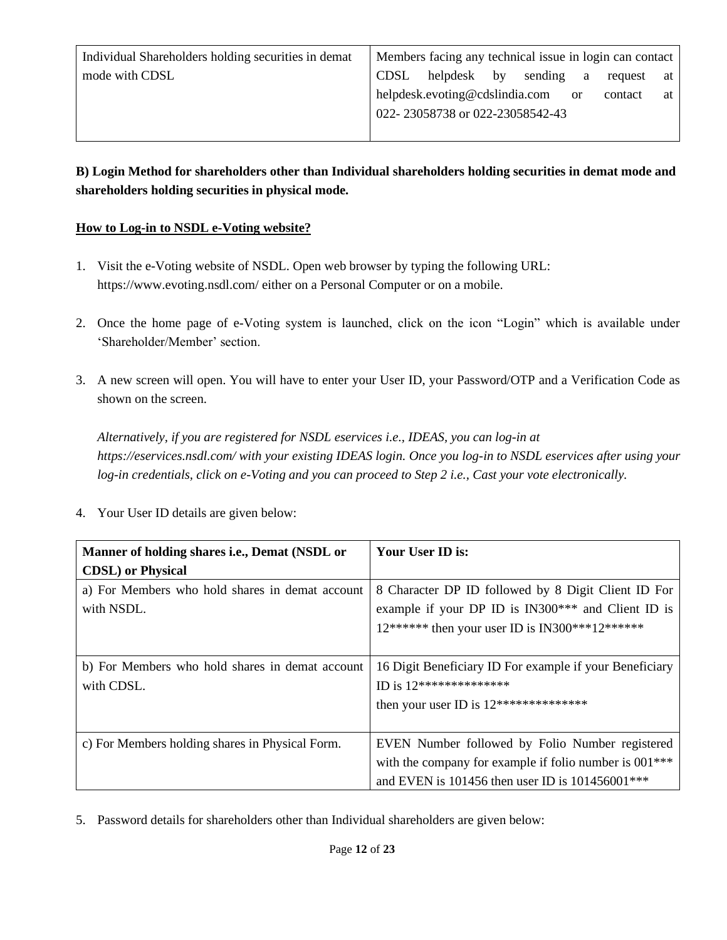| Individual Shareholders holding securities in demat |      | Members facing any technical issue in login can contact |  |   |         |    |
|-----------------------------------------------------|------|---------------------------------------------------------|--|---|---------|----|
| mode with CDSL                                      | CDSL | helpdesk by sending                                     |  | a | request | at |
|                                                     |      | helpdesk.evoting@cdslindia.com or                       |  |   | contact | at |
|                                                     |      | 022-23058738 or 022-23058542-43                         |  |   |         |    |
|                                                     |      |                                                         |  |   |         |    |

### **B) Login Method for shareholders other than Individual shareholders holding securities in demat mode and shareholders holding securities in physical mode.**

### **How to Log-in to NSDL e-Voting website?**

- 1. Visit the e-Voting website of NSDL. Open web browser by typing the following URL: https://www.evoting.nsdl.com/ either on a Personal Computer or on a mobile.
- 2. Once the home page of e-Voting system is launched, click on the icon "Login" which is available under 'Shareholder/Member' section.
- 3. A new screen will open. You will have to enter your User ID, your Password/OTP and a Verification Code as shown on the screen.

*Alternatively, if you are registered for NSDL eservices i.e., IDEAS, you can log-in at https://eservices.nsdl.com/ with your existing IDEAS login. Once you log-in to NSDL eservices after using your log-in credentials, click on e-Voting and you can proceed to Step 2 i.e., Cast your vote electronically.*

- **Manner of holding shares i.e., Demat (NSDL or CDSL) or Physical Your User ID is:** a) For Members who hold shares in demat account with NSDL. 8 Character DP ID followed by 8 Digit Client ID For example if your DP ID is IN300\*\*\* and Client ID is  $12******$  then your user ID is IN300\*\*\*12\*\*\*\*\*\* b) For Members who hold shares in demat account with CDSL. 16 Digit Beneficiary ID For example if your Beneficiary ID is 12\*\*\*\*\*\*\*\*\*\*\*\*\*\* then your user ID is 12\*\*\*\*\*\*\*\*\*\*\*\*\*\* c) For Members holding shares in Physical Form. EVEN Number followed by Folio Number registered with the company for example if folio number is  $001***$ and EVEN is 101456 then user ID is 101456001\*\*\*
- 4. Your User ID details are given below:

5. Password details for shareholders other than Individual shareholders are given below: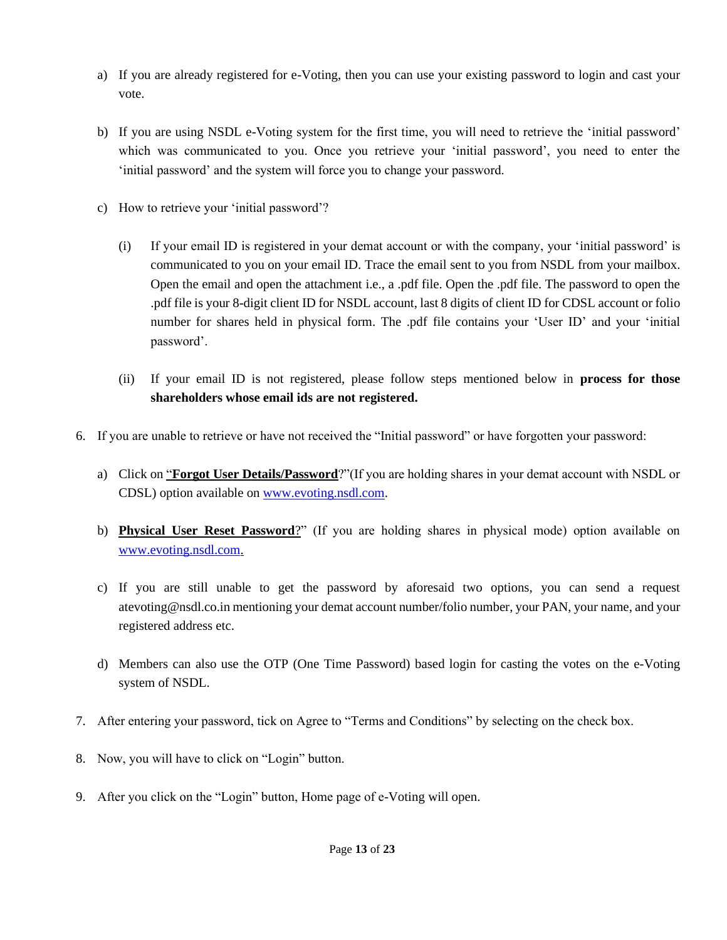- a) If you are already registered for e-Voting, then you can use your existing password to login and cast your vote.
- b) If you are using NSDL e-Voting system for the first time, you will need to retrieve the 'initial password' which was communicated to you. Once you retrieve your 'initial password', you need to enter the 'initial password' and the system will force you to change your password.
- c) How to retrieve your 'initial password'?
	- (i) If your email ID is registered in your demat account or with the company, your 'initial password' is communicated to you on your email ID. Trace the email sent to you from NSDL from your mailbox. Open the email and open the attachment i.e., a .pdf file. Open the .pdf file. The password to open the .pdf file is your 8-digit client ID for NSDL account, last 8 digits of client ID for CDSL account or folio number for shares held in physical form. The .pdf file contains your 'User ID' and your 'initial password'.
	- (ii) If your email ID is not registered, please follow steps mentioned below in **process for those shareholders whose email ids are not registered.**
- 6. If you are unable to retrieve or have not received the "Initial password" or have forgotten your password:
	- a) Click on "**Forgot User Details/Password**?"(If you are holding shares in your demat account with NSDL or CDSL) option available on [www.evoting.nsdl.com.](http://www.evoting.nsdl.com/)
	- b) **Physical User Reset Password**?" (If you are holding shares in physical mode) option available on [www.evoting.nsdl.com.](http://www.evoting.nsdl.com/)
	- c) If you are still unable to get the password by aforesaid two options, you can send a request atevoting@nsdl.co.in mentioning your demat account number/folio number, your PAN, your name, and your registered address etc.
	- d) Members can also use the OTP (One Time Password) based login for casting the votes on the e-Voting system of NSDL.
- 7. After entering your password, tick on Agree to "Terms and Conditions" by selecting on the check box.
- 8. Now, you will have to click on "Login" button.
- 9. After you click on the "Login" button, Home page of e-Voting will open.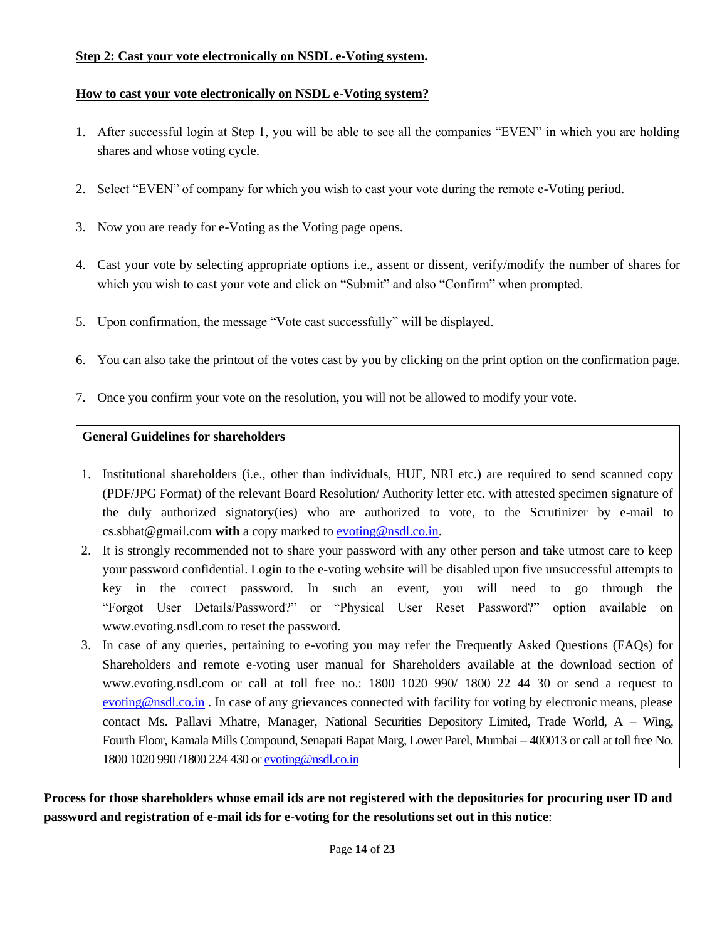#### **Step 2: Cast your vote electronically on NSDL e-Voting system.**

#### **How to cast your vote electronically on NSDL e-Voting system?**

- 1. After successful login at Step 1, you will be able to see all the companies "EVEN" in which you are holding shares and whose voting cycle.
- 2. Select "EVEN" of company for which you wish to cast your vote during the remote e-Voting period.
- 3. Now you are ready for e-Voting as the Voting page opens.
- 4. Cast your vote by selecting appropriate options i.e., assent or dissent, verify/modify the number of shares for which you wish to cast your vote and click on "Submit" and also "Confirm" when prompted.
- 5. Upon confirmation, the message "Vote cast successfully" will be displayed.
- 6. You can also take the printout of the votes cast by you by clicking on the print option on the confirmation page.
- 7. Once you confirm your vote on the resolution, you will not be allowed to modify your vote.

### **General Guidelines for shareholders**

- 1. Institutional shareholders (i.e., other than individuals, HUF, NRI etc.) are required to send scanned copy (PDF/JPG Format) of the relevant Board Resolution/ Authority letter etc. with attested specimen signature of the duly authorized signatory(ies) who are authorized to vote, to the Scrutinizer by e-mail to cs.sbhat@gmail.com **with** a copy marked to [evoting@nsdl.co.in.](mailto:evoting@nsdl.co.in)
- 2. It is strongly recommended not to share your password with any other person and take utmost care to keep your password confidential. Login to the e-voting website will be disabled upon five unsuccessful attempts to key in the correct password. In such an event, you will need to go through the "Forgot User Details/Password?" or "Physical User Reset Password?" option available on www.evoting.nsdl.com to reset the password.
- 3. In case of any queries, pertaining to e-voting you may refer the Frequently Asked Questions (FAQs) for Shareholders and remote e-voting user manual for Shareholders available at the download section of www.evoting.nsdl.com or call at toll free no.: 1800 1020 990/ 1800 22 44 30 or send a request to [evoting@nsdl.co.in](mailto:evoting@nsdl.co.in) . In case of any grievances connected with facility for voting by electronic means, please contact Ms. Pallavi Mhatre, Manager, National Securities Depository Limited, Trade World, A – Wing, Fourth Floor, Kamala Mills Compound, Senapati Bapat Marg, Lower Parel, Mumbai – 400013 or call at toll free No. 1800 1020 990 /1800 224 430 o[r evoting@nsdl.co.in](mailto:evoting@nsdl.co.in)

**Process for those shareholders whose email ids are not registered with the depositories for procuring user ID and password and registration of e-mail ids for e-voting for the resolutions set out in this notice**: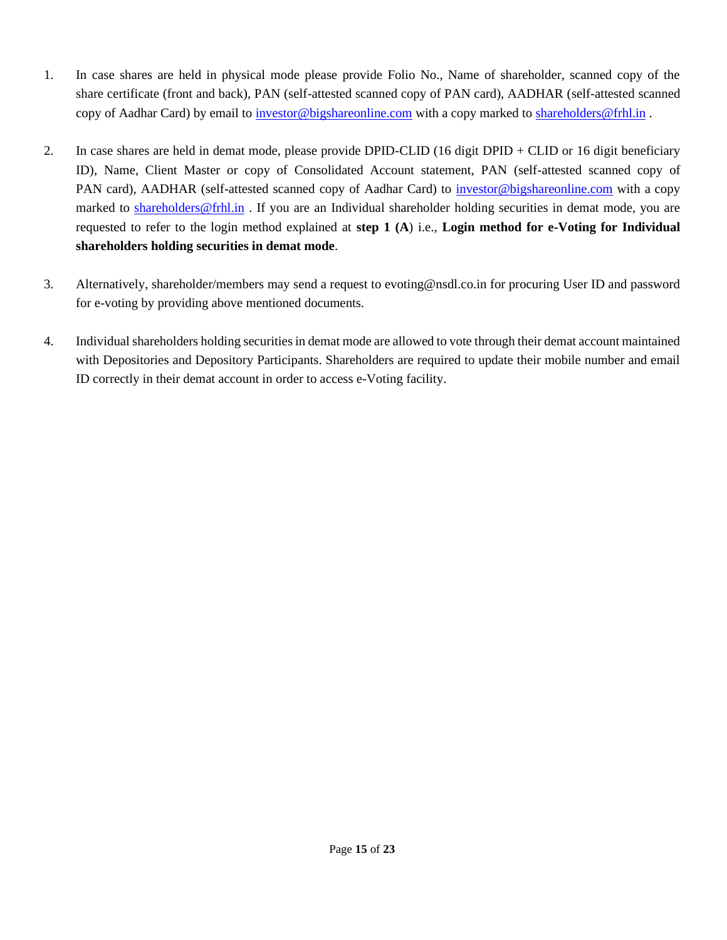- 1. In case shares are held in physical mode please provide Folio No., Name of shareholder, scanned copy of the share certificate (front and back), PAN (self-attested scanned copy of PAN card), AADHAR (self-attested scanned copy of Aadhar Card) by email to [investor@bigshareonline.com](mailto:investor@bigshareonline.com) with a copy marked to [shareholders@frhl.in](mailto:shareholders@frhl.in).
- 2. In case shares are held in demat mode, please provide DPID-CLID (16 digit DPID + CLID or 16 digit beneficiary ID), Name, Client Master or copy of Consolidated Account statement, PAN (self-attested scanned copy of PAN card), AADHAR (self-attested scanned copy of Aadhar Card) to *investor@bigshareonline.com* with a copy marked to [shareholders@frhl.in](mailto:shareholders@frhl.in) . If you are an Individual shareholder holding securities in demat mode, you are requested to refer to the login method explained at **step 1 (A**) i.e., **Login method for e-Voting for Individual shareholders holding securities in demat mode**.
- 3. Alternatively, shareholder/members may send a request to evoting@nsdl.co.in for procuring User ID and password for e-voting by providing above mentioned documents.
- 4. Individual shareholders holding securities in demat mode are allowed to vote through their demat account maintained with Depositories and Depository Participants. Shareholders are required to update their mobile number and email ID correctly in their demat account in order to access e-Voting facility.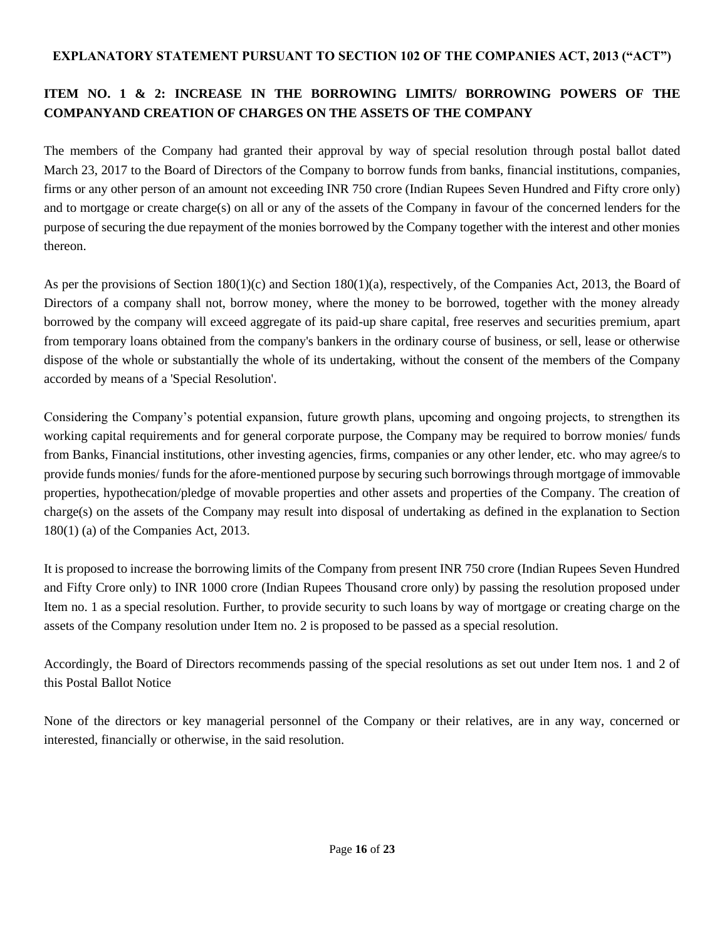### **EXPLANATORY STATEMENT PURSUANT TO SECTION 102 OF THE COMPANIES ACT, 2013 ("ACT")**

## **ITEM NO. 1 & 2: INCREASE IN THE BORROWING LIMITS/ BORROWING POWERS OF THE COMPANYAND CREATION OF CHARGES ON THE ASSETS OF THE COMPANY**

The members of the Company had granted their approval by way of special resolution through postal ballot dated March 23, 2017 to the Board of Directors of the Company to borrow funds from banks, financial institutions, companies, firms or any other person of an amount not exceeding INR 750 crore (Indian Rupees Seven Hundred and Fifty crore only) and to mortgage or create charge(s) on all or any of the assets of the Company in favour of the concerned lenders for the purpose of securing the due repayment of the monies borrowed by the Company together with the interest and other monies thereon.

As per the provisions of Section 180(1)(c) and Section 180(1)(a), respectively, of the Companies Act, 2013, the Board of Directors of a company shall not, borrow money, where the money to be borrowed, together with the money already borrowed by the company will exceed aggregate of its paid-up share capital, free reserves and securities premium, apart from temporary loans obtained from the company's bankers in the ordinary course of business, or sell, lease or otherwise dispose of the whole or substantially the whole of its undertaking, without the consent of the members of the Company accorded by means of a 'Special Resolution'.

Considering the Company's potential expansion, future growth plans, upcoming and ongoing projects, to strengthen its working capital requirements and for general corporate purpose, the Company may be required to borrow monies/ funds from Banks, Financial institutions, other investing agencies, firms, companies or any other lender, etc. who may agree/s to provide funds monies/ funds for the afore-mentioned purpose by securing such borrowings through mortgage of immovable properties, hypothecation/pledge of movable properties and other assets and properties of the Company. The creation of charge(s) on the assets of the Company may result into disposal of undertaking as defined in the explanation to Section 180(1) (a) of the Companies Act, 2013.

It is proposed to increase the borrowing limits of the Company from present INR 750 crore (Indian Rupees Seven Hundred and Fifty Crore only) to INR 1000 crore (Indian Rupees Thousand crore only) by passing the resolution proposed under Item no. 1 as a special resolution. Further, to provide security to such loans by way of mortgage or creating charge on the assets of the Company resolution under Item no. 2 is proposed to be passed as a special resolution.

Accordingly, the Board of Directors recommends passing of the special resolutions as set out under Item nos. 1 and 2 of this Postal Ballot Notice

None of the directors or key managerial personnel of the Company or their relatives, are in any way, concerned or interested, financially or otherwise, in the said resolution.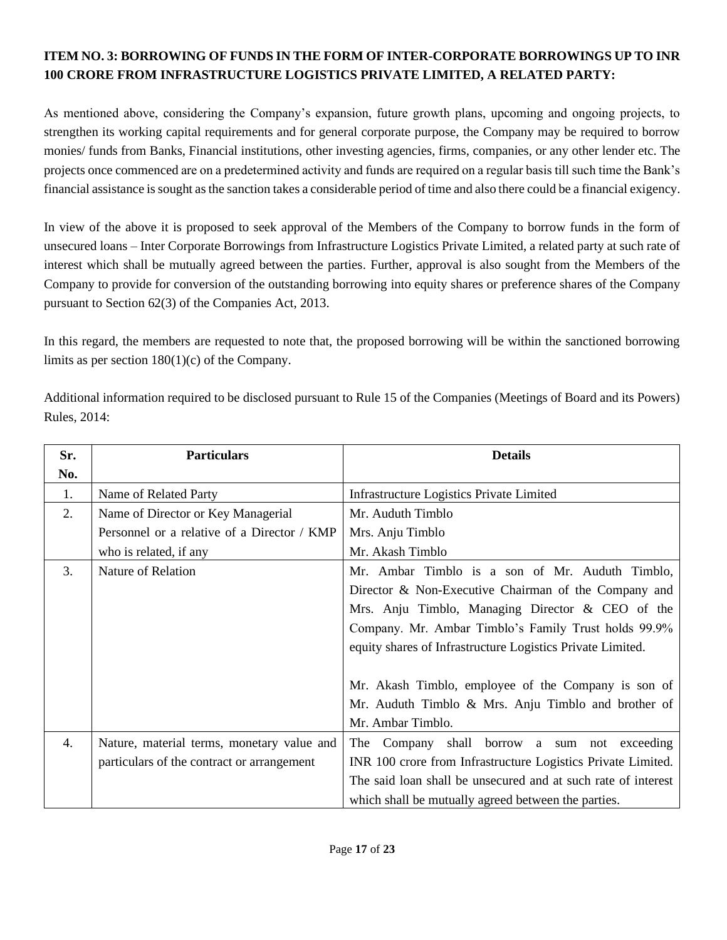## **ITEM NO. 3: BORROWING OF FUNDS IN THE FORM OF INTER-CORPORATE BORROWINGS UP TO INR 100 CRORE FROM INFRASTRUCTURE LOGISTICS PRIVATE LIMITED, A RELATED PARTY:**

As mentioned above, considering the Company's expansion, future growth plans, upcoming and ongoing projects, to strengthen its working capital requirements and for general corporate purpose, the Company may be required to borrow monies/ funds from Banks, Financial institutions, other investing agencies, firms, companies, or any other lender etc. The projects once commenced are on a predetermined activity and funds are required on a regular basis till such time the Bank's financial assistance is sought as the sanction takes a considerable period of time and also there could be a financial exigency.

In view of the above it is proposed to seek approval of the Members of the Company to borrow funds in the form of unsecured loans – Inter Corporate Borrowings from Infrastructure Logistics Private Limited, a related party at such rate of interest which shall be mutually agreed between the parties. Further, approval is also sought from the Members of the Company to provide for conversion of the outstanding borrowing into equity shares or preference shares of the Company pursuant to Section 62(3) of the Companies Act, 2013.

In this regard, the members are requested to note that, the proposed borrowing will be within the sanctioned borrowing limits as per section 180(1)(c) of the Company.

Additional information required to be disclosed pursuant to Rule 15 of the Companies (Meetings of Board and its Powers) Rules, 2014:

| Sr.              | <b>Particulars</b>                          | <b>Details</b>                                                |
|------------------|---------------------------------------------|---------------------------------------------------------------|
| No.              |                                             |                                                               |
| 1.               | Name of Related Party                       | Infrastructure Logistics Private Limited                      |
| 2.               | Name of Director or Key Managerial          | Mr. Auduth Timblo                                             |
|                  | Personnel or a relative of a Director / KMP | Mrs. Anju Timblo                                              |
|                  | who is related, if any                      | Mr. Akash Timblo                                              |
| 3.               | Nature of Relation                          | Mr. Ambar Timblo is a son of Mr. Auduth Timblo,               |
|                  |                                             | Director & Non-Executive Chairman of the Company and          |
|                  |                                             | Mrs. Anju Timblo, Managing Director & CEO of the              |
|                  |                                             | Company. Mr. Ambar Timblo's Family Trust holds 99.9%          |
|                  |                                             | equity shares of Infrastructure Logistics Private Limited.    |
|                  |                                             |                                                               |
|                  |                                             | Mr. Akash Timblo, employee of the Company is son of           |
|                  |                                             | Mr. Auduth Timblo $\&$ Mrs. Anju Timblo and brother of        |
|                  |                                             | Mr. Ambar Timblo.                                             |
| $\overline{4}$ . | Nature, material terms, monetary value and  | shall borrow a sum not exceeding<br>The Company               |
|                  | particulars of the contract or arrangement  | INR 100 crore from Infrastructure Logistics Private Limited.  |
|                  |                                             | The said loan shall be unsecured and at such rate of interest |
|                  |                                             | which shall be mutually agreed between the parties.           |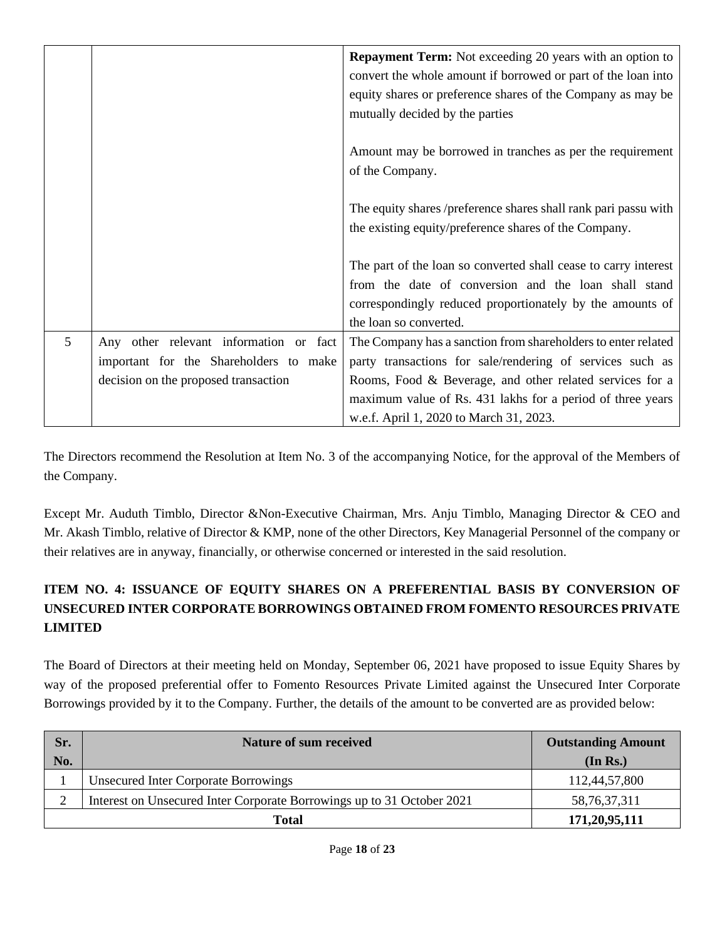|   |                                        | <b>Repayment Term:</b> Not exceeding 20 years with an option to<br>convert the whole amount if borrowed or part of the loan into |
|---|----------------------------------------|----------------------------------------------------------------------------------------------------------------------------------|
|   |                                        | equity shares or preference shares of the Company as may be                                                                      |
|   |                                        | mutually decided by the parties                                                                                                  |
|   |                                        | Amount may be borrowed in tranches as per the requirement                                                                        |
|   |                                        | of the Company.                                                                                                                  |
|   |                                        | The equity shares /preference shares shall rank pari passu with                                                                  |
|   |                                        | the existing equity/preference shares of the Company.                                                                            |
|   |                                        | The part of the loan so converted shall cease to carry interest                                                                  |
|   |                                        | from the date of conversion and the loan shall stand                                                                             |
|   |                                        | correspondingly reduced proportionately by the amounts of                                                                        |
|   |                                        | the loan so converted.                                                                                                           |
| 5 | Any other relevant information or fact | The Company has a sanction from shareholders to enter related                                                                    |
|   | important for the Shareholders to make | party transactions for sale/rendering of services such as                                                                        |
|   | decision on the proposed transaction   | Rooms, Food & Beverage, and other related services for a                                                                         |
|   |                                        | maximum value of Rs. 431 lakhs for a period of three years                                                                       |
|   |                                        | w.e.f. April 1, 2020 to March 31, 2023.                                                                                          |

The Directors recommend the Resolution at Item No. 3 of the accompanying Notice, for the approval of the Members of the Company.

Except Mr. Auduth Timblo, Director &Non-Executive Chairman, Mrs. Anju Timblo, Managing Director & CEO and Mr. Akash Timblo, relative of Director & KMP, none of the other Directors, Key Managerial Personnel of the company or their relatives are in anyway, financially, or otherwise concerned or interested in the said resolution.

## **ITEM NO. 4: ISSUANCE OF EQUITY SHARES ON A PREFERENTIAL BASIS BY CONVERSION OF UNSECURED INTER CORPORATE BORROWINGS OBTAINED FROM FOMENTO RESOURCES PRIVATE LIMITED**

The Board of Directors at their meeting held on Monday, September 06, 2021 have proposed to issue Equity Shares by way of the proposed preferential offer to Fomento Resources Private Limited against the Unsecured Inter Corporate Borrowings provided by it to the Company. Further, the details of the amount to be converted are as provided below:

| Sr. | Nature of sum received                                                 | <b>Outstanding Amount</b> |
|-----|------------------------------------------------------------------------|---------------------------|
| No. |                                                                        | (In Rs.)                  |
|     | <b>Unsecured Inter Corporate Borrowings</b>                            | 112,44,57,800             |
|     | Interest on Unsecured Inter Corporate Borrowings up to 31 October 2021 | 58, 76, 37, 311           |
|     | <b>Total</b>                                                           | 171,20,95,111             |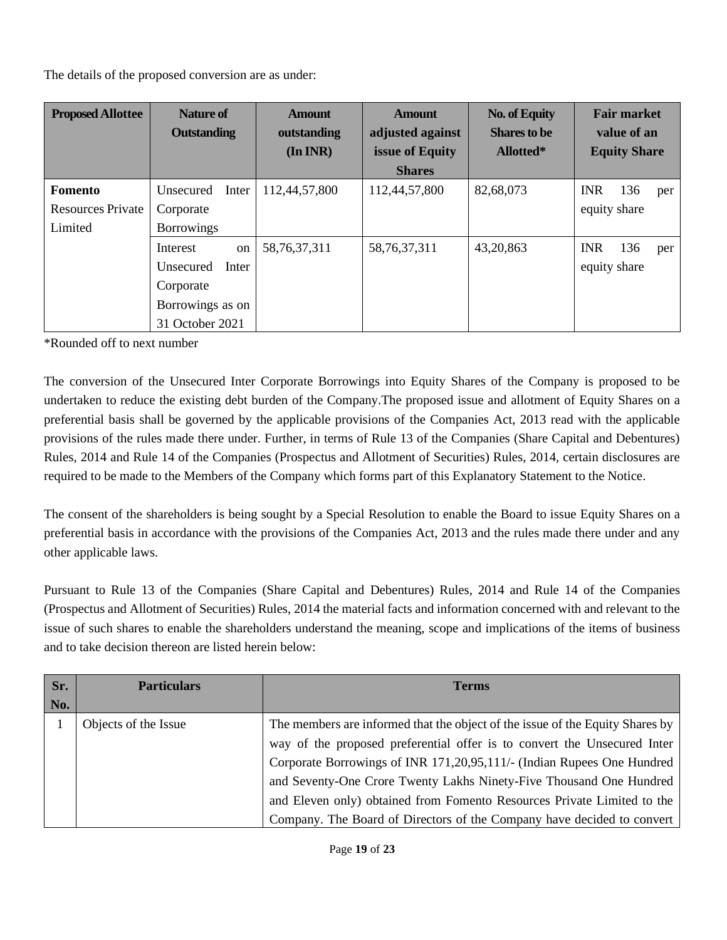The details of the proposed conversion are as under:

| <b>Proposed Allottee</b> | <b>Nature of</b><br><b>Outstanding</b> | <b>Amount</b><br>outstanding<br>$(In\,INR)$ | <b>Amount</b><br>adjusted against<br>issue of Equity | <b>No. of Equity</b><br><b>Shares to be</b><br>Allotted* | <b>Fair market</b><br>value of an<br><b>Equity Share</b> |
|--------------------------|----------------------------------------|---------------------------------------------|------------------------------------------------------|----------------------------------------------------------|----------------------------------------------------------|
|                          |                                        |                                             | <b>Shares</b>                                        |                                                          |                                                          |
| Fomento                  | Inter<br>Unsecured                     | 112,44,57,800                               | 112,44,57,800                                        | 82,68,073                                                | <b>INR</b><br>136<br>per                                 |
| <b>Resources Private</b> | Corporate                              |                                             |                                                      |                                                          | equity share                                             |
| Limited                  | <b>Borrowings</b>                      |                                             |                                                      |                                                          |                                                          |
|                          | Interest<br>on                         | 58, 76, 37, 311                             | 58, 76, 37, 311                                      | 43,20,863                                                | <b>INR</b><br>136<br>per                                 |
|                          | Unsecured<br>Inter                     |                                             |                                                      |                                                          | equity share                                             |
|                          | Corporate                              |                                             |                                                      |                                                          |                                                          |
|                          | Borrowings as on                       |                                             |                                                      |                                                          |                                                          |
|                          | 31 October 2021                        |                                             |                                                      |                                                          |                                                          |

\*Rounded off to next number

The conversion of the Unsecured Inter Corporate Borrowings into Equity Shares of the Company is proposed to be undertaken to reduce the existing debt burden of the Company.The proposed issue and allotment of Equity Shares on a preferential basis shall be governed by the applicable provisions of the Companies Act, 2013 read with the applicable provisions of the rules made there under. Further, in terms of Rule 13 of the Companies (Share Capital and Debentures) Rules, 2014 and Rule 14 of the Companies (Prospectus and Allotment of Securities) Rules, 2014, certain disclosures are required to be made to the Members of the Company which forms part of this Explanatory Statement to the Notice.

The consent of the shareholders is being sought by a Special Resolution to enable the Board to issue Equity Shares on a preferential basis in accordance with the provisions of the Companies Act, 2013 and the rules made there under and any other applicable laws.

Pursuant to Rule 13 of the Companies (Share Capital and Debentures) Rules, 2014 and Rule 14 of the Companies (Prospectus and Allotment of Securities) Rules, 2014 the material facts and information concerned with and relevant to the issue of such shares to enable the shareholders understand the meaning, scope and implications of the items of business and to take decision thereon are listed herein below:

| Sr.<br>No. | <b>Particulars</b>   | <b>Terms</b>                                                                                                                                              |
|------------|----------------------|-----------------------------------------------------------------------------------------------------------------------------------------------------------|
|            | Objects of the Issue | The members are informed that the object of the issue of the Equity Shares by<br>way of the proposed preferential offer is to convert the Unsecured Inter |
|            |                      | Corporate Borrowings of INR 171,20,95,111/- (Indian Rupees One Hundred<br>and Seventy-One Crore Twenty Lakhs Ninety-Five Thousand One Hundred             |
|            |                      | and Eleven only) obtained from Fomento Resources Private Limited to the<br>Company. The Board of Directors of the Company have decided to convert         |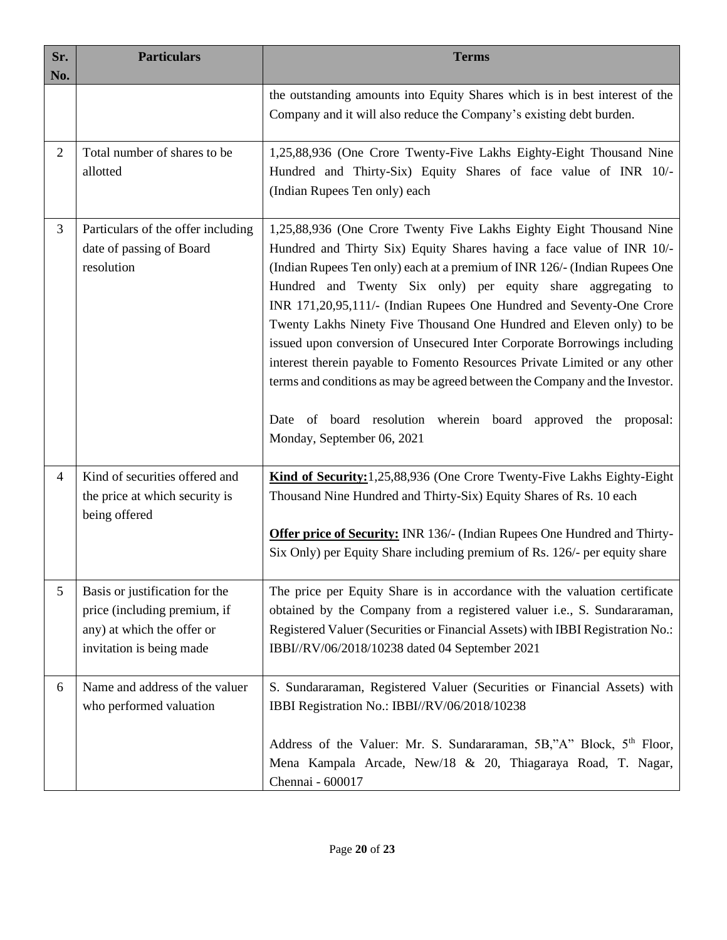| Sr.<br>No.     | <b>Particulars</b>                                                                                                       | <b>Terms</b>                                                                                                                                                                                                                                                                                                                                                                                                                                                                                                                                                                                                                                                                                                                                                                       |
|----------------|--------------------------------------------------------------------------------------------------------------------------|------------------------------------------------------------------------------------------------------------------------------------------------------------------------------------------------------------------------------------------------------------------------------------------------------------------------------------------------------------------------------------------------------------------------------------------------------------------------------------------------------------------------------------------------------------------------------------------------------------------------------------------------------------------------------------------------------------------------------------------------------------------------------------|
|                |                                                                                                                          | the outstanding amounts into Equity Shares which is in best interest of the<br>Company and it will also reduce the Company's existing debt burden.                                                                                                                                                                                                                                                                                                                                                                                                                                                                                                                                                                                                                                 |
| $\overline{2}$ | Total number of shares to be<br>allotted                                                                                 | 1,25,88,936 (One Crore Twenty-Five Lakhs Eighty-Eight Thousand Nine<br>Hundred and Thirty-Six) Equity Shares of face value of INR 10/-<br>(Indian Rupees Ten only) each                                                                                                                                                                                                                                                                                                                                                                                                                                                                                                                                                                                                            |
| 3              | Particulars of the offer including<br>date of passing of Board<br>resolution                                             | 1,25,88,936 (One Crore Twenty Five Lakhs Eighty Eight Thousand Nine<br>Hundred and Thirty Six) Equity Shares having a face value of INR 10/-<br>(Indian Rupees Ten only) each at a premium of INR 126/- (Indian Rupees One<br>Hundred and Twenty Six only) per equity share aggregating to<br>INR 171,20,95,111/- (Indian Rupees One Hundred and Seventy-One Crore<br>Twenty Lakhs Ninety Five Thousand One Hundred and Eleven only) to be<br>issued upon conversion of Unsecured Inter Corporate Borrowings including<br>interest therein payable to Fomento Resources Private Limited or any other<br>terms and conditions as may be agreed between the Company and the Investor.<br>Date of board resolution wherein board approved the proposal:<br>Monday, September 06, 2021 |
| 4              | Kind of securities offered and<br>the price at which security is<br>being offered                                        | Kind of Security: 1,25,88,936 (One Crore Twenty-Five Lakhs Eighty-Eight<br>Thousand Nine Hundred and Thirty-Six) Equity Shares of Rs. 10 each<br><b>Offer price of Security:</b> INR 136/- (Indian Rupees One Hundred and Thirty-<br>Six Only) per Equity Share including premium of Rs. 126/- per equity share                                                                                                                                                                                                                                                                                                                                                                                                                                                                    |
| 5              | Basis or justification for the<br>price (including premium, if<br>any) at which the offer or<br>invitation is being made | The price per Equity Share is in accordance with the valuation certificate<br>obtained by the Company from a registered valuer i.e., S. Sundararaman,<br>Registered Valuer (Securities or Financial Assets) with IBBI Registration No.:<br>IBBI//RV/06/2018/10238 dated 04 September 2021                                                                                                                                                                                                                                                                                                                                                                                                                                                                                          |
| 6              | Name and address of the valuer<br>who performed valuation                                                                | S. Sundararaman, Registered Valuer (Securities or Financial Assets) with<br>IBBI Registration No.: IBBI//RV/06/2018/10238<br>Address of the Valuer: Mr. S. Sundararaman, 5B,"A" Block, 5 <sup>th</sup> Floor,<br>Mena Kampala Arcade, New/18 & 20, Thiagaraya Road, T. Nagar,<br>Chennai - 600017                                                                                                                                                                                                                                                                                                                                                                                                                                                                                  |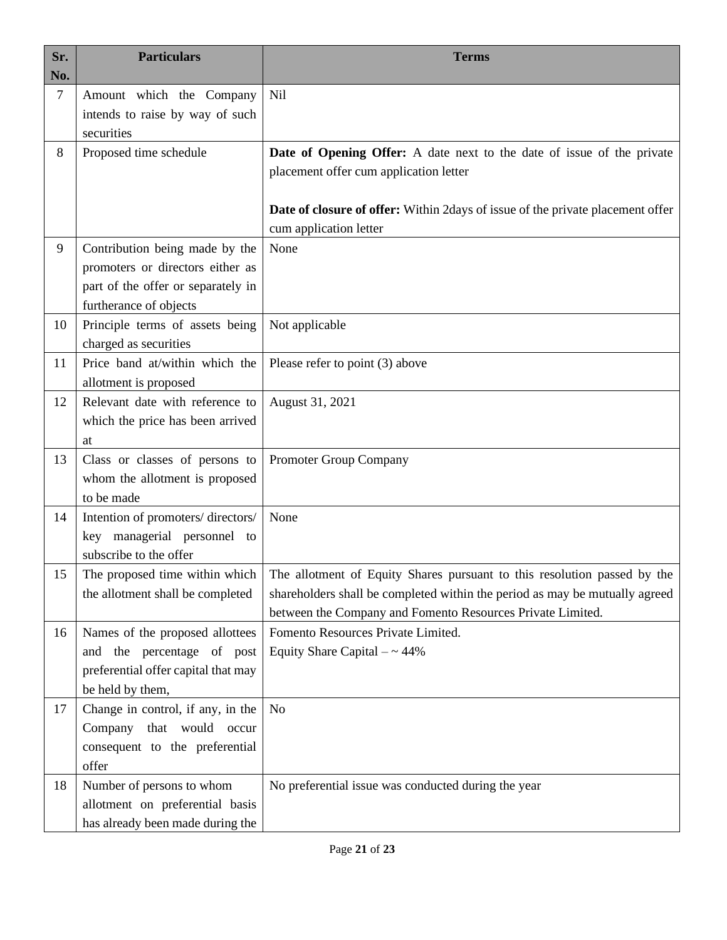| Sr.<br>No. | <b>Particulars</b>                                                                                                                 | <b>Terms</b>                                                                                                                                                                                                                                           |
|------------|------------------------------------------------------------------------------------------------------------------------------------|--------------------------------------------------------------------------------------------------------------------------------------------------------------------------------------------------------------------------------------------------------|
| 7          | Amount which the Company<br>intends to raise by way of such<br>securities                                                          | Nil                                                                                                                                                                                                                                                    |
| 8          | Proposed time schedule                                                                                                             | Date of Opening Offer: A date next to the date of issue of the private<br>placement offer cum application letter<br>Date of closure of offer: Within 2days of issue of the private placement offer                                                     |
| 9          | Contribution being made by the<br>promoters or directors either as<br>part of the offer or separately in<br>furtherance of objects | cum application letter<br>None                                                                                                                                                                                                                         |
| 10         | Principle terms of assets being<br>charged as securities                                                                           | Not applicable                                                                                                                                                                                                                                         |
| 11         | Price band at/within which the<br>allotment is proposed                                                                            | Please refer to point (3) above                                                                                                                                                                                                                        |
| 12         | Relevant date with reference to<br>which the price has been arrived<br>at                                                          | August 31, 2021                                                                                                                                                                                                                                        |
| 13         | Class or classes of persons to<br>whom the allotment is proposed<br>to be made                                                     | Promoter Group Company                                                                                                                                                                                                                                 |
| 14         | Intention of promoters/directors/<br>key managerial personnel to<br>subscribe to the offer                                         | None                                                                                                                                                                                                                                                   |
| 15         | the allotment shall be completed                                                                                                   | The proposed time within which   The allotment of Equity Shares pursuant to this resolution passed by the<br>shareholders shall be completed within the period as may be mutually agreed<br>between the Company and Fomento Resources Private Limited. |
| 16         | Names of the proposed allottees<br>and the percentage of post<br>preferential offer capital that may<br>be held by them,           | Fomento Resources Private Limited.<br>Equity Share Capital $-$ ~ 44%                                                                                                                                                                                   |
| 17         | Change in control, if any, in the<br>Company that would occur<br>consequent to the preferential<br>offer                           | N <sub>o</sub>                                                                                                                                                                                                                                         |
| 18         | Number of persons to whom<br>allotment on preferential basis<br>has already been made during the                                   | No preferential issue was conducted during the year                                                                                                                                                                                                    |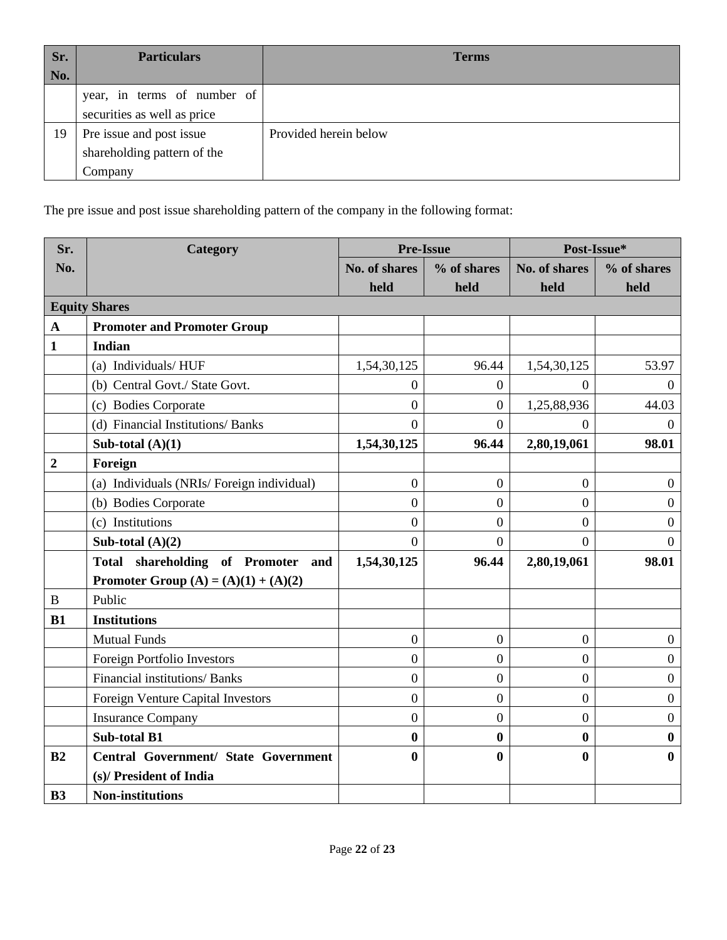| Sr. | <b>Particulars</b>          | <b>Terms</b>          |
|-----|-----------------------------|-----------------------|
| No. |                             |                       |
|     | year, in terms of number of |                       |
|     | securities as well as price |                       |
| 19  | Pre issue and post issue    | Provided herein below |
|     | shareholding pattern of the |                       |
|     | Company                     |                       |

The pre issue and post issue shareholding pattern of the company in the following format:

| Sr.              | Category                                    | <b>Pre-Issue</b> |                  | Post-Issue*      |                  |
|------------------|---------------------------------------------|------------------|------------------|------------------|------------------|
| No.              |                                             | No. of shares    | % of shares      | No. of shares    | % of shares      |
|                  |                                             | held             | held             | held             | held             |
|                  | <b>Equity Shares</b>                        |                  |                  |                  |                  |
| $\mathbf A$      | <b>Promoter and Promoter Group</b>          |                  |                  |                  |                  |
| $\mathbf{1}$     | <b>Indian</b>                               |                  |                  |                  |                  |
|                  | (a) Individuals/HUF                         | 1,54,30,125      | 96.44            | 1,54,30,125      | 53.97            |
|                  | (b) Central Govt./ State Govt.              | $\overline{0}$   | $\boldsymbol{0}$ | $\overline{0}$   | $\mathbf{0}$     |
|                  | (c) Bodies Corporate                        | $\boldsymbol{0}$ | $\overline{0}$   | 1,25,88,936      | 44.03            |
|                  | (d) Financial Institutions/ Banks           | $\Omega$         | $\Omega$         | $\Omega$         | $\Omega$         |
|                  | Sub-total $(A)(1)$                          | 1,54,30,125      | 96.44            | 2,80,19,061      | 98.01            |
| $\boldsymbol{2}$ | Foreign                                     |                  |                  |                  |                  |
|                  | (a) Individuals (NRIs/Foreign individual)   | $\overline{0}$   | $\overline{0}$   | $\overline{0}$   | $\overline{0}$   |
|                  | (b) Bodies Corporate                        | $\overline{0}$   | $\boldsymbol{0}$ | $\boldsymbol{0}$ | $\boldsymbol{0}$ |
|                  | (c) Institutions                            | $\overline{0}$   | $\overline{0}$   | $\overline{0}$   | $\boldsymbol{0}$ |
|                  | Sub-total $(A)(2)$                          | $\Omega$         | $\overline{0}$   | $\overline{0}$   | $\theta$         |
|                  | Total shareholding of Promoter and          | 1,54,30,125      | 96.44            | 2,80,19,061      | 98.01            |
|                  | <b>Promoter Group</b> (A) = (A)(1) + (A)(2) |                  |                  |                  |                  |
| $\, {\bf B}$     | Public                                      |                  |                  |                  |                  |
| B1               | <b>Institutions</b>                         |                  |                  |                  |                  |
|                  | <b>Mutual Funds</b>                         | $\boldsymbol{0}$ | $\overline{0}$   | $\boldsymbol{0}$ | $\overline{0}$   |
|                  | Foreign Portfolio Investors                 | $\overline{0}$   | $\overline{0}$   | $\overline{0}$   | $\overline{0}$   |
|                  | Financial institutions/ Banks               | $\overline{0}$   | $\overline{0}$   | $\boldsymbol{0}$ | $\overline{0}$   |
|                  | Foreign Venture Capital Investors           | $\overline{0}$   | $\overline{0}$   | $\overline{0}$   | $\boldsymbol{0}$ |
|                  | <b>Insurance Company</b>                    | $\boldsymbol{0}$ | $\overline{0}$   | $\boldsymbol{0}$ | $\boldsymbol{0}$ |
|                  | <b>Sub-total B1</b>                         | $\bf{0}$         | $\bf{0}$         | $\bf{0}$         | $\bf{0}$         |
| B2               | <b>Central Government/ State Government</b> | $\bf{0}$         | $\bf{0}$         | $\bf{0}$         | $\bf{0}$         |
|                  | (s)/ President of India                     |                  |                  |                  |                  |
| B3               | <b>Non-institutions</b>                     |                  |                  |                  |                  |